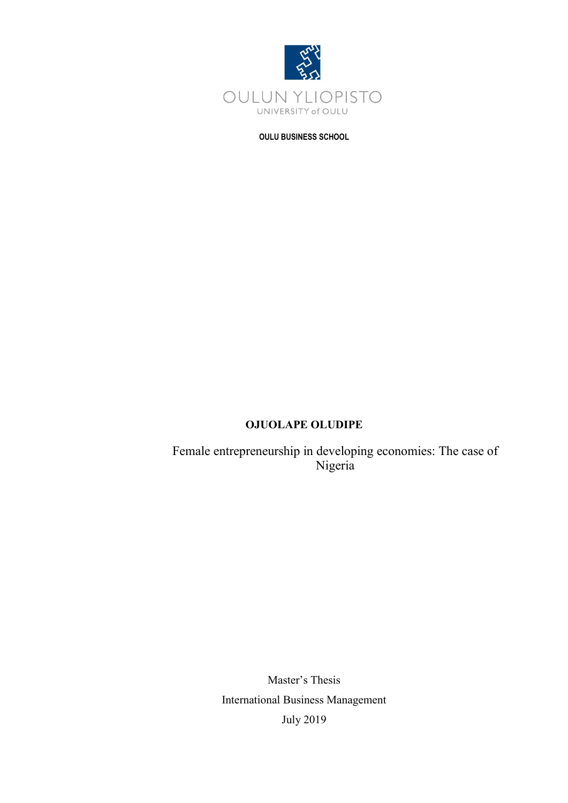

**OULU BUSINESS SCHOOL**

# **OJUOLAPE OLUDIPE**

Female entrepreneurship in developing economies: The case of Nigeria

> Master's Thesis International Business Management July 2019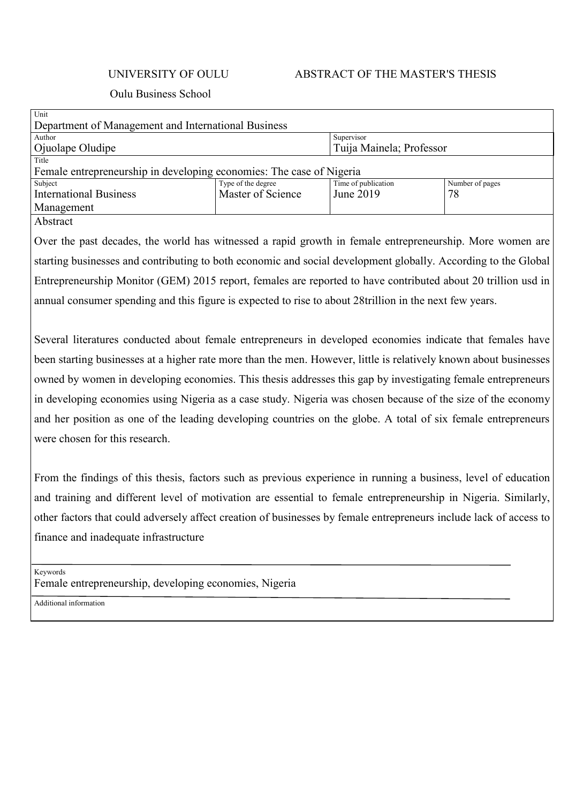# UNIVERSITY OF OULU ABSTRACT OF THE MASTER'S THESIS

# Oulu Business School

| Unit                                                                 |                    |                          |                 |  |
|----------------------------------------------------------------------|--------------------|--------------------------|-----------------|--|
| Department of Management and International Business                  |                    |                          |                 |  |
| Author                                                               |                    | Supervisor               |                 |  |
| Ojuolape Oludipe                                                     |                    | Tuija Mainela; Professor |                 |  |
| Title                                                                |                    |                          |                 |  |
| Female entrepreneurship in developing economies: The case of Nigeria |                    |                          |                 |  |
| Subject                                                              | Type of the degree | Time of publication      | Number of pages |  |
| <b>International Business</b>                                        | Master of Science  | June 2019                | 78              |  |
| Management                                                           |                    |                          |                 |  |
| $\cdots$                                                             |                    |                          |                 |  |

#### Abstract

Over the past decades, the world has witnessed a rapid growth in female entrepreneurship. More women are starting businesses and contributing to both economic and social development globally. According to the Global Entrepreneurship Monitor (GEM) 2015 report, females are reported to have contributed about 20 trillion usd in annual consumer spending and this figure is expected to rise to about 28trillion in the next few years.

Several literatures conducted about female entrepreneurs in developed economies indicate that females have been starting businesses at a higher rate more than the men. However, little is relatively known about businesses owned by women in developing economies. This thesis addresses this gap by investigating female entrepreneurs in developing economies using Nigeria as a case study. Nigeria was chosen because of the size of the economy and her position as one of the leading developing countries on the globe. A total of six female entrepreneurs were chosen for this research.

From the findings of this thesis, factors such as previous experience in running a business, level of education and training and different level of motivation are essential to female entrepreneurship in Nigeria. Similarly, other factors that could adversely affect creation of businesses by female entrepreneurs include lack of access to finance and inadequate infrastructure

Keywords Female entrepreneurship, developing economies, Nigeria

Additional information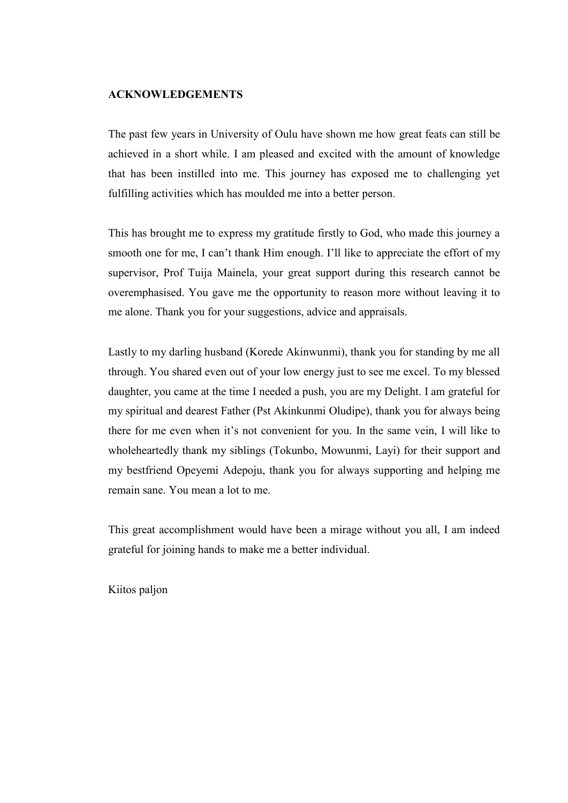# <span id="page-2-0"></span>**ACKNOWLEDGEMENTS**

The past few years in University of Oulu have shown me how great feats can still be achieved in a short while. I am pleased and excited with the amount of knowledge that has been instilled into me. This journey has exposed me to challenging yet fulfilling activities which has moulded me into a better person.

This has brought me to express my gratitude firstly to God, who made this journey a smooth one for me, I can't thank Him enough. I'll like to appreciate the effort of my supervisor, Prof Tuija Mainela, your great support during this research cannot be overemphasised. You gave me the opportunity to reason more without leaving it to me alone. Thank you for your suggestions, advice and appraisals.

Lastly to my darling husband (Korede Akinwunmi), thank you for standing by me all through. You shared even out of your low energy just to see me excel. To my blessed daughter, you came at the time I needed a push, you are my Delight. I am grateful for my spiritual and dearest Father (Pst Akinkunmi Oludipe), thank you for always being there for me even when it's not convenient for you. In the same vein, I will like to wholeheartedly thank my siblings (Tokunbo, Mowunmi, Layi) for their support and my bestfriend Opeyemi Adepoju, thank you for always supporting and helping me remain sane. You mean a lot to me.

This great accomplishment would have been a mirage without you all, I am indeed grateful for joining hands to make me a better individual.

Kiitos paljon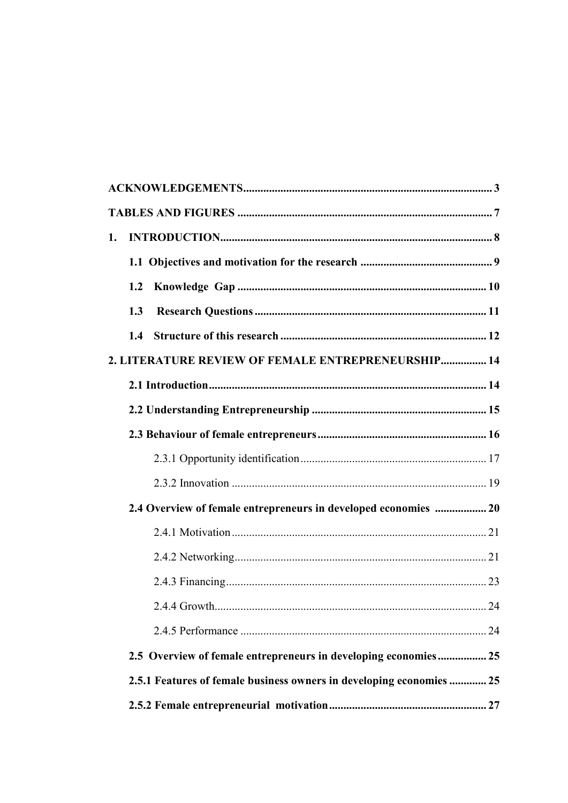| 1.                                                                   |      |
|----------------------------------------------------------------------|------|
|                                                                      |      |
| 1.2                                                                  |      |
| 1.3                                                                  |      |
|                                                                      |      |
| 2. LITERATURE REVIEW OF FEMALE ENTREPRENEURSHIP 14                   |      |
|                                                                      |      |
|                                                                      |      |
|                                                                      |      |
|                                                                      |      |
|                                                                      |      |
| 2.4 Overview of female entrepreneurs in developed economies  20      |      |
|                                                                      |      |
|                                                                      |      |
|                                                                      |      |
| 2.4.4 Growth.                                                        | . 24 |
|                                                                      |      |
| 2.5 Overview of female entrepreneurs in developing economies25       |      |
| 2.5.1 Features of female business owners in developing economies  25 |      |
|                                                                      |      |
|                                                                      |      |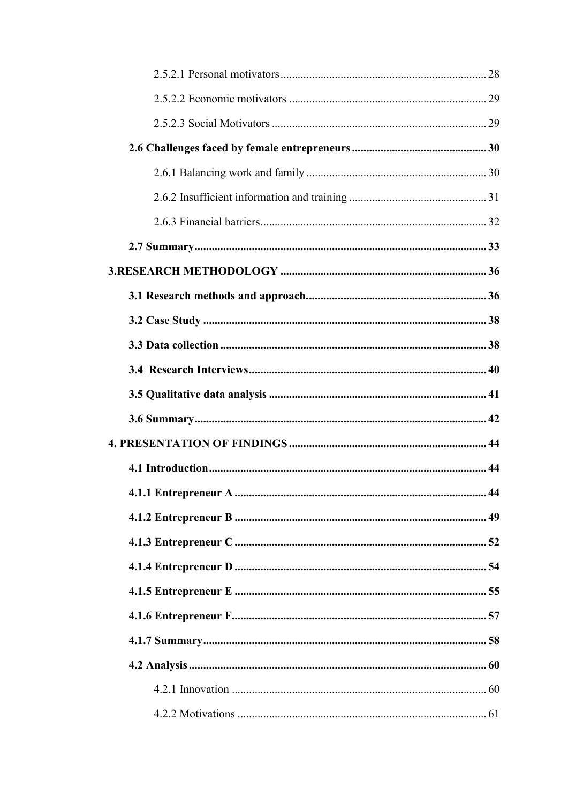| 4.1.1 Entrepreneur A | 44 |
|----------------------|----|
|                      |    |
|                      |    |
|                      |    |
|                      |    |
|                      |    |
|                      |    |
|                      |    |
|                      |    |
|                      |    |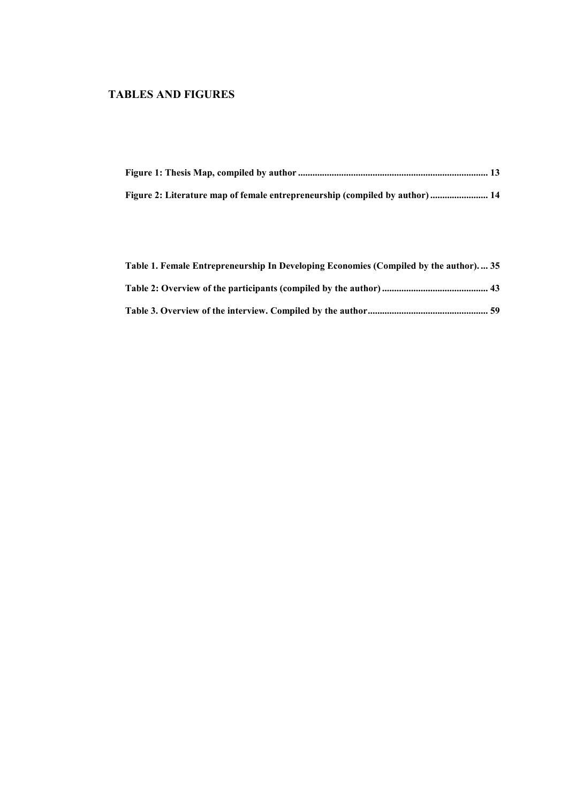# <span id="page-6-0"></span>**TABLES AND FIGURES**

| Figure 2: Literature map of female entrepreneurship (compiled by author)  14 |  |
|------------------------------------------------------------------------------|--|

| Table 1. Female Entrepreneurship In Developing Economies (Compiled by the author) 35 |  |
|--------------------------------------------------------------------------------------|--|
|                                                                                      |  |
|                                                                                      |  |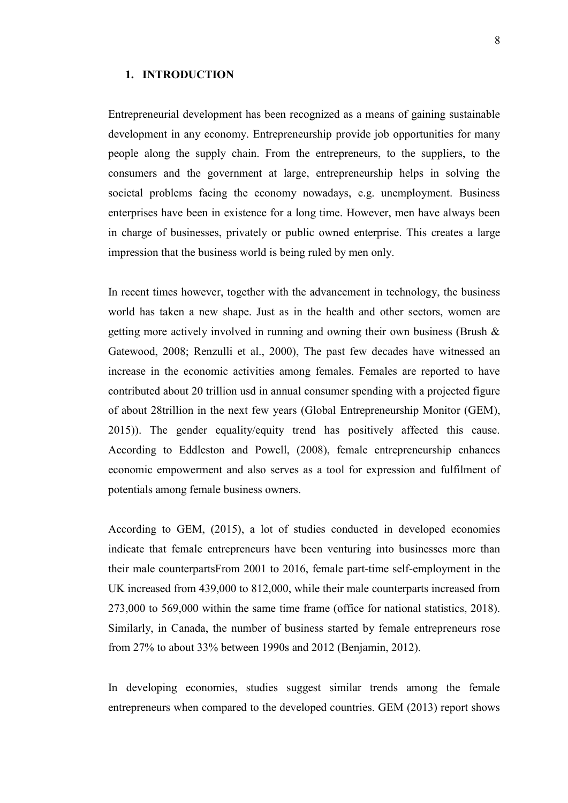#### <span id="page-7-0"></span>**1. INTRODUCTION**

Entrepreneurial development has been recognized as a means of gaining sustainable development in any economy. Entrepreneurship provide job opportunities for many people along the supply chain. From the entrepreneurs, to the suppliers, to the consumers and the government at large, entrepreneurship helps in solving the societal problems facing the economy nowadays, e.g. unemployment. Business enterprises have been in existence for a long time. However, men have always been in charge of businesses, privately or public owned enterprise. This creates a large impression that the business world is being ruled by men only.

In recent times however, together with the advancement in technology, the business world has taken a new shape. Just as in the health and other sectors, women are getting more actively involved in running and owning their own business (Brush  $\&$ Gatewood, 2008; Renzulli et al., 2000), The past few decades have witnessed an increase in the economic activities among females. Females are reported to have contributed about 20 trillion usd in annual consumer spending with a projected figure of about 28trillion in the next few years (Global Entrepreneurship Monitor (GEM), 2015)). The gender equality/equity trend has positively affected this cause. According to Eddleston and Powell, (2008), female entrepreneurship enhances economic empowerment and also serves as a tool for expression and fulfilment of potentials among female business owners.

According to GEM, (2015), a lot of studies conducted in developed economies indicate that female entrepreneurs have been venturing into businesses more than their male counterpartsFrom 2001 to 2016, female part-time self-employment in the UK increased from 439,000 to 812,000, while their male counterparts increased from 273,000 to 569,000 within the same time frame (office for national statistics, 2018). Similarly, in Canada, the number of business started by female entrepreneurs rose from 27% to about 33% between 1990s and 2012 (Benjamin, 2012).

In developing economies, studies suggest similar trends among the female entrepreneurs when compared to the developed countries. GEM (2013) report shows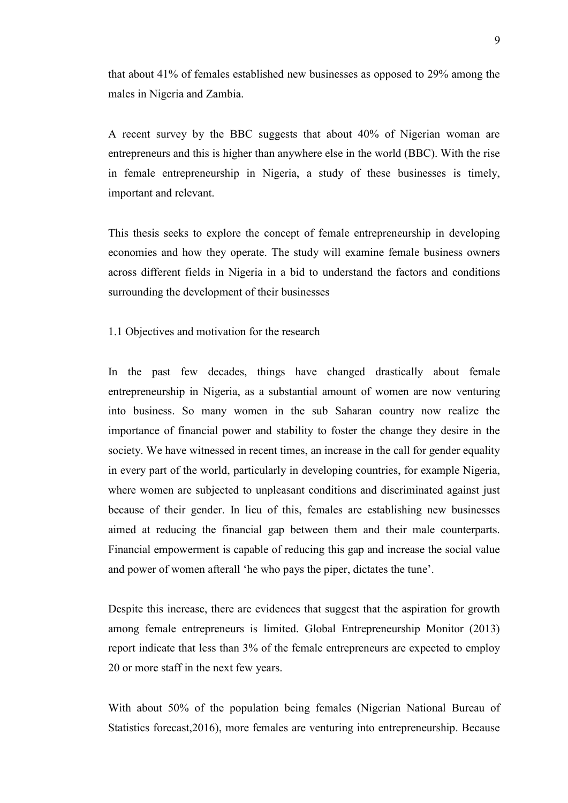that about 41% of females established new businesses as opposed to 29% among the males in Nigeria and Zambia.

A recent survey by the BBC suggests that about 40% of Nigerian woman are entrepreneurs and this is higher than anywhere else in the world (BBC). With the rise in female entrepreneurship in Nigeria, a study of these businesses is timely, important and relevant.

This thesis seeks to explore the concept of female entrepreneurship in developing economies and how they operate. The study will examine female business owners across different fields in Nigeria in a bid to understand the factors and conditions surrounding the development of their businesses

<span id="page-8-0"></span>1.1 Objectives and motivation for the research

In the past few decades, things have changed drastically about female entrepreneurship in Nigeria, as a substantial amount of women are now venturing into business. So many women in the sub Saharan country now realize the importance of financial power and stability to foster the change they desire in the society. We have witnessed in recent times, an increase in the call for gender equality in every part of the world, particularly in developing countries, for example Nigeria, where women are subjected to unpleasant conditions and discriminated against just because of their gender. In lieu of this, females are establishing new businesses aimed at reducing the financial gap between them and their male counterparts. Financial empowerment is capable of reducing this gap and increase the social value and power of women afterall 'he who pays the piper, dictates the tune'.

Despite this increase, there are evidences that suggest that the aspiration for growth among female entrepreneurs is limited. Global Entrepreneurship Monitor (2013) report indicate that less than 3% of the female entrepreneurs are expected to employ 20 or more staff in the next few years.

With about 50% of the population being females (Nigerian National Bureau of Statistics forecast,2016), more females are venturing into entrepreneurship. Because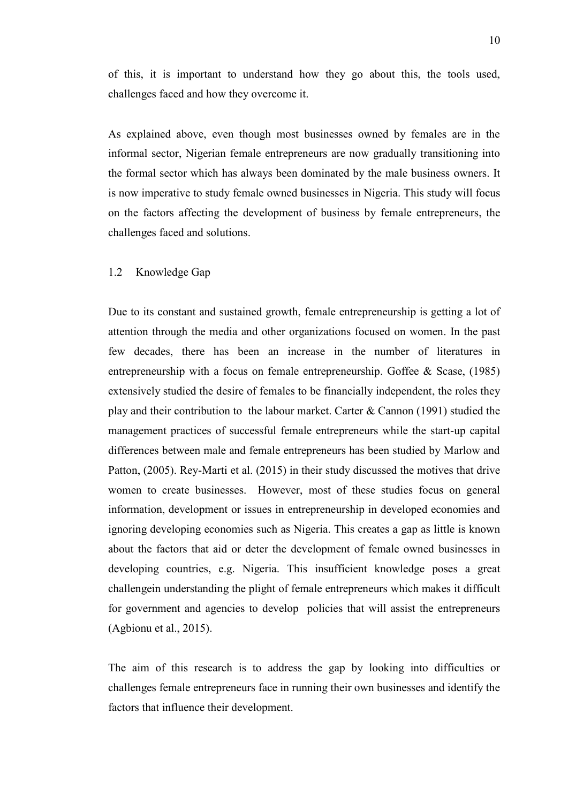of this, it is important to understand how they go about this, the tools used, challenges faced and how they overcome it.

As explained above, even though most businesses owned by females are in the informal sector, Nigerian female entrepreneurs are now gradually transitioning into the formal sector which has always been dominated by the male business owners. It is now imperative to study female owned businesses in Nigeria. This study will focus on the factors affecting the development of business by female entrepreneurs, the challenges faced and solutions.

### <span id="page-9-0"></span>1.2 Knowledge Gap

Due to its constant and sustained growth, female entrepreneurship is getting a lot of attention through the media and other organizations focused on women. In the past few decades, there has been an increase in the number of literatures in entrepreneurship with a focus on female entrepreneurship. Goffee & Scase, (1985) extensively studied the desire of females to be financially independent, the roles they play and their contribution to the labour market. Carter & Cannon (1991) studied the management practices of successful female entrepreneurs while the start-up capital differences between male and female entrepreneurs has been studied by Marlow and Patton, (2005). Rey-Marti et al. (2015) in their study discussed the motives that drive women to create businesses. However, most of these studies focus on general information, development or issues in entrepreneurship in developed economies and ignoring developing economies such as Nigeria. This creates a gap as little is known about the factors that aid or deter the development of female owned businesses in developing countries, e.g. Nigeria. This insufficient knowledge poses a great challengein understanding the plight of female entrepreneurs which makes it difficult for government and agencies to develop policies that will assist the entrepreneurs (Agbionu et al., 2015).

The aim of this research is to address the gap by looking into difficulties or challenges female entrepreneurs face in running their own businesses and identify the factors that influence their development.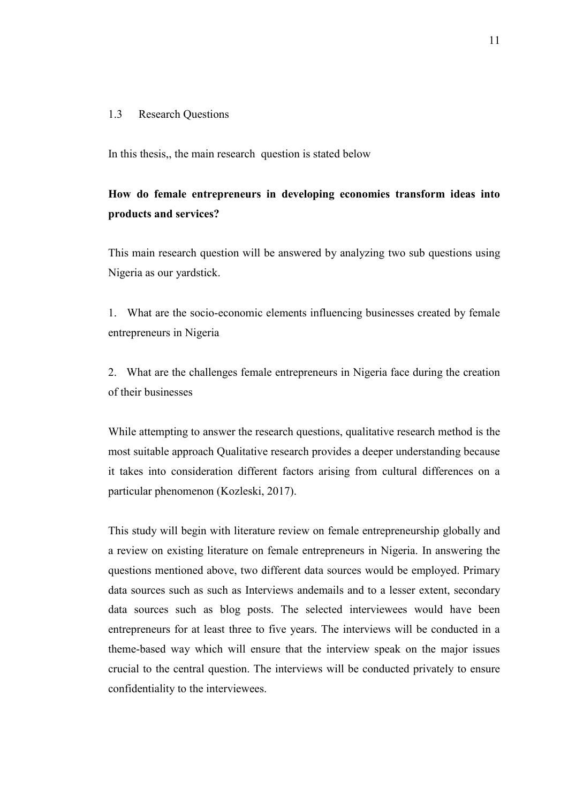### <span id="page-10-0"></span>1.3 Research Questions

In this thesis,, the main research question is stated below

# **How do female entrepreneurs in developing economies transform ideas into products and services?**

This main research question will be answered by analyzing two sub questions using Nigeria as our yardstick.

1. What are the socio-economic elements influencing businesses created by female entrepreneurs in Nigeria

2. What are the challenges female entrepreneurs in Nigeria face during the creation of their businesses

While attempting to answer the research questions, qualitative research method is the most suitable approach Qualitative research provides a deeper understanding because it takes into consideration different factors arising from cultural differences on a particular phenomenon (Kozleski, 2017).

This study will begin with literature review on female entrepreneurship globally and a review on existing literature on female entrepreneurs in Nigeria. In answering the questions mentioned above, two different data sources would be employed. Primary data sources such as such as Interviews andemails and to a lesser extent, secondary data sources such as blog posts. The selected interviewees would have been entrepreneurs for at least three to five years. The interviews will be conducted in a theme-based way which will ensure that the interview speak on the major issues crucial to the central question. The interviews will be conducted privately to ensure confidentiality to the interviewees.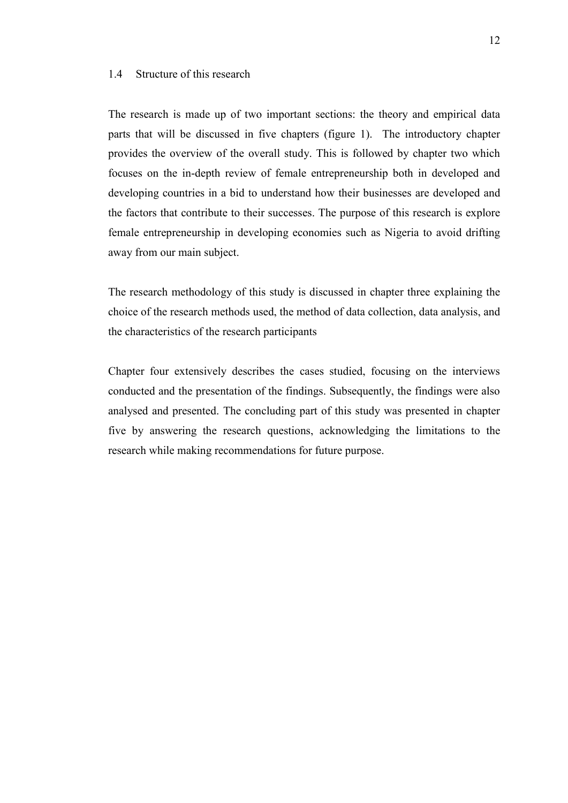# <span id="page-11-0"></span>1.4 Structure of this research

The research is made up of two important sections: the theory and empirical data parts that will be discussed in five chapters (figure 1). The introductory chapter provides the overview of the overall study. This is followed by chapter two which focuses on the in-depth review of female entrepreneurship both in developed and developing countries in a bid to understand how their businesses are developed and the factors that contribute to their successes. The purpose of this research is explore female entrepreneurship in developing economies such as Nigeria to avoid drifting away from our main subject.

The research methodology of this study is discussed in chapter three explaining the choice of the research methods used, the method of data collection, data analysis, and the characteristics of the research participants

Chapter four extensively describes the cases studied, focusing on the interviews conducted and the presentation of the findings. Subsequently, the findings were also analysed and presented. The concluding part of this study was presented in chapter five by answering the research questions, acknowledging the limitations to the research while making recommendations for future purpose.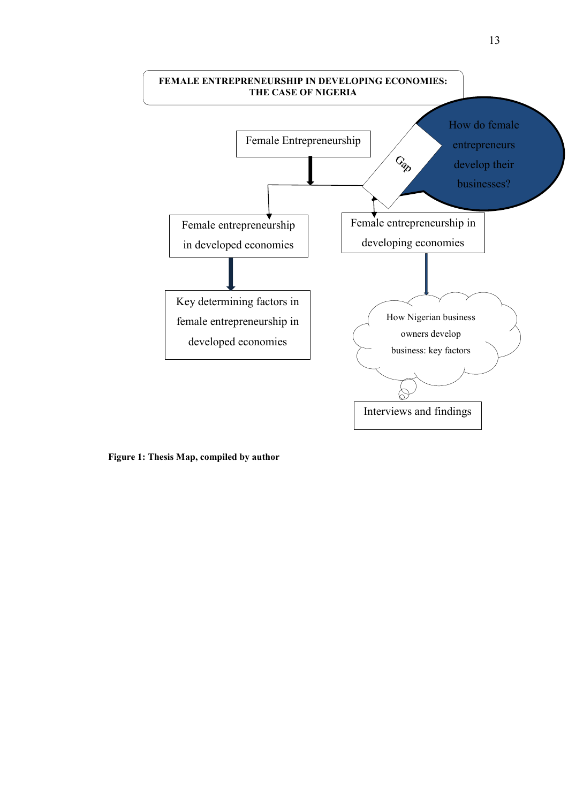

<span id="page-12-0"></span>**Figure 1: Thesis Map, compiled by author**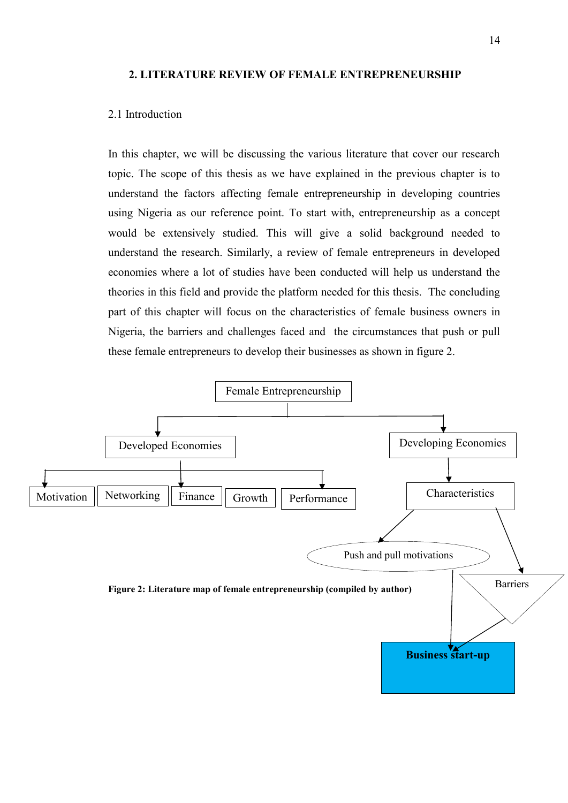#### <span id="page-13-0"></span>**2. LITERATURE REVIEW OF FEMALE ENTREPRENEURSHIP**

# <span id="page-13-1"></span>2.1 Introduction

In this chapter, we will be discussing the various literature that cover our research topic. The scope of this thesis as we have explained in the previous chapter is to understand the factors affecting female entrepreneurship in developing countries using Nigeria as our reference point. To start with, entrepreneurship as a concept would be extensively studied. This will give a solid background needed to understand the research. Similarly, a review of female entrepreneurs in developed economies where a lot of studies have been conducted will help us understand the theories in this field and provide the platform needed for this thesis. The concluding part of this chapter will focus on the characteristics of female business owners in Nigeria, the barriers and challenges faced and the circumstances that push or pull these female entrepreneurs to develop their businesses as shown in figure 2.

<span id="page-13-2"></span>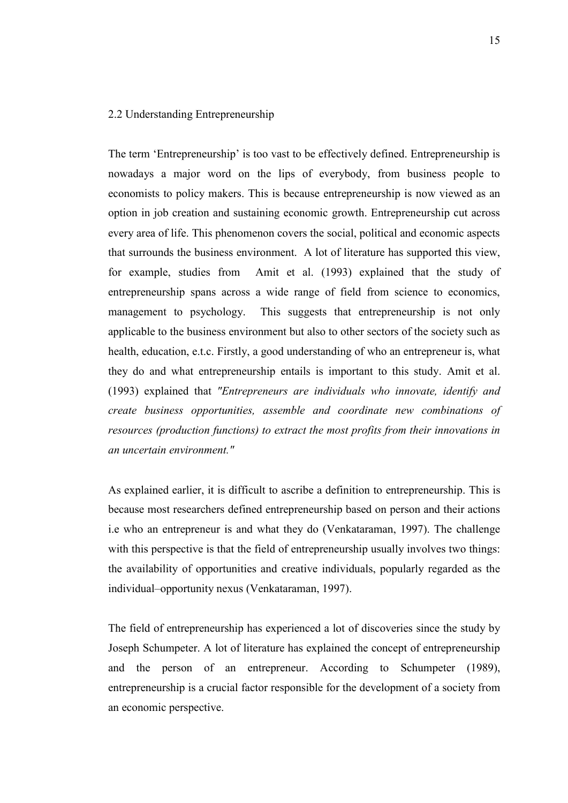# <span id="page-14-0"></span>2.2 Understanding Entrepreneurship

The term 'Entrepreneurship' is too vast to be effectively defined. Entrepreneurship is nowadays a major word on the lips of everybody, from business people to economists to policy makers. This is because entrepreneurship is now viewed as an option in job creation and sustaining economic growth. Entrepreneurship cut across every area of life. This phenomenon covers the social, political and economic aspects that surrounds the business environment. A lot of literature has supported this view, for example, studies from Amit et al. (1993) explained that the study of entrepreneurship spans across a wide range of field from science to economics, management to psychology. This suggests that entrepreneurship is not only applicable to the business environment but also to other sectors of the society such as health, education, e.t.c. Firstly, a good understanding of who an entrepreneur is, what they do and what entrepreneurship entails is important to this study. Amit et al. (1993) explained that *"Entrepreneurs are individuals who innovate, identify and create business opportunities, assemble and coordinate new combinations of resources (production functions) to extract the most profits from their innovations in an uncertain environment."*

As explained earlier, it is difficult to ascribe a definition to entrepreneurship. This is because most researchers defined entrepreneurship based on person and their actions i.e who an entrepreneur is and what they do (Venkataraman, 1997). The challenge with this perspective is that the field of entrepreneurship usually involves two things: the availability of opportunities and creative individuals, popularly regarded as the individual–opportunity nexus (Venkataraman, 1997).

The field of entrepreneurship has experienced a lot of discoveries since the study by Joseph Schumpeter. A lot of literature has explained the concept of entrepreneurship and the person of an entrepreneur. According to Schumpeter (1989), entrepreneurship is a crucial factor responsible for the development of a society from an economic perspective.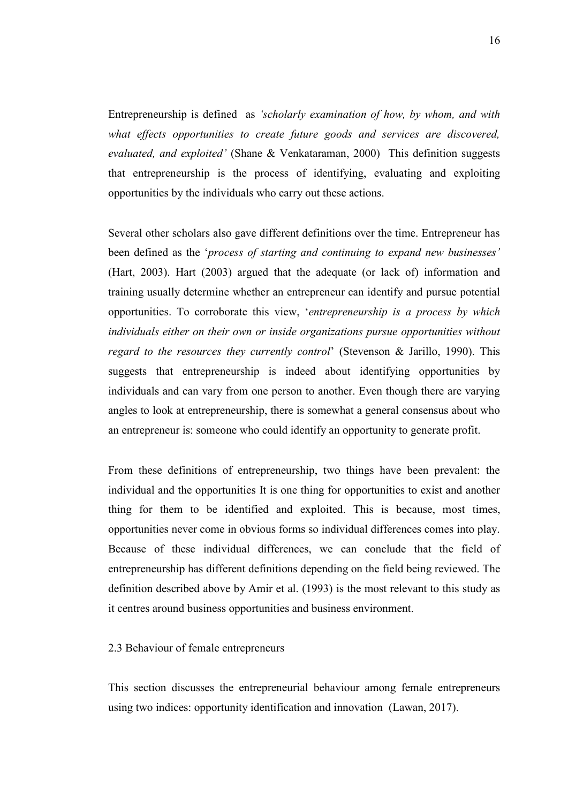Entrepreneurship is defined as *'scholarly examination of how, by whom, and with what effects opportunities to create future goods and services are discovered, evaluated, and exploited'* (Shane & Venkataraman, 2000) This definition suggests that entrepreneurship is the process of identifying, evaluating and exploiting opportunities by the individuals who carry out these actions.

Several other scholars also gave different definitions over the time. Entrepreneur has been defined as the '*process of starting and continuing to expand new businesses'* (Hart, 2003). Hart (2003) argued that the adequate (or lack of) information and training usually determine whether an entrepreneur can identify and pursue potential opportunities. To corroborate this view, '*entrepreneurship is a process by which individuals either on their own or inside organizations pursue opportunities without regard to the resources they currently control*' (Stevenson & Jarillo, 1990). This suggests that entrepreneurship is indeed about identifying opportunities by individuals and can vary from one person to another. Even though there are varying angles to look at entrepreneurship, there is somewhat a general consensus about who an entrepreneur is: someone who could identify an opportunity to generate profit.

From these definitions of entrepreneurship, two things have been prevalent: the individual and the opportunities It is one thing for opportunities to exist and another thing for them to be identified and exploited. This is because, most times, opportunities never come in obvious forms so individual differences comes into play. Because of these individual differences, we can conclude that the field of entrepreneurship has different definitions depending on the field being reviewed. The definition described above by Amir et al. (1993) is the most relevant to this study as it centres around business opportunities and business environment.

#### <span id="page-15-0"></span>2.3 Behaviour of female entrepreneurs

This section discusses the entrepreneurial behaviour among female entrepreneurs using two indices: opportunity identification and innovation (Lawan, 2017).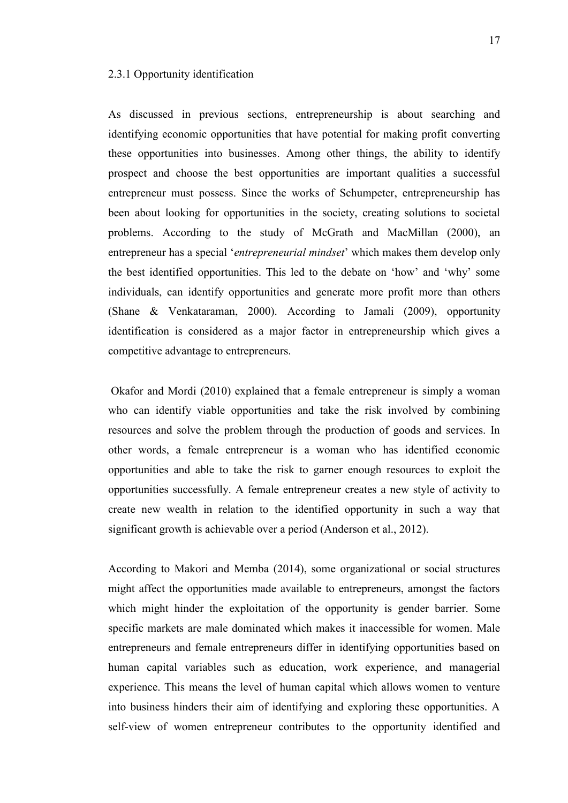#### <span id="page-16-0"></span>2.3.1 Opportunity identification

As discussed in previous sections, entrepreneurship is about searching and identifying economic opportunities that have potential for making profit converting these opportunities into businesses. Among other things, the ability to identify prospect and choose the best opportunities are important qualities a successful entrepreneur must possess. Since the works of Schumpeter, entrepreneurship has been about looking for opportunities in the society, creating solutions to societal problems. According to the study of McGrath and MacMillan (2000), an entrepreneur has a special '*entrepreneurial mindset*' which makes them develop only the best identified opportunities. This led to the debate on 'how' and 'why' some individuals, can identify opportunities and generate more profit more than others (Shane & Venkataraman, 2000). According to Jamali (2009), opportunity identification is considered as a major factor in entrepreneurship which gives a competitive advantage to entrepreneurs.

Okafor and Mordi (2010) explained that a female entrepreneur is simply a woman who can identify viable opportunities and take the risk involved by combining resources and solve the problem through the production of goods and services. In other words, a female entrepreneur is a woman who has identified economic opportunities and able to take the risk to garner enough resources to exploit the opportunities successfully. A female entrepreneur creates a new style of activity to create new wealth in relation to the identified opportunity in such a way that significant growth is achievable over a period (Anderson et al., 2012).

According to Makori and Memba (2014), some organizational or social structures might affect the opportunities made available to entrepreneurs, amongst the factors which might hinder the exploitation of the opportunity is gender barrier. Some specific markets are male dominated which makes it inaccessible for women. Male entrepreneurs and female entrepreneurs differ in identifying opportunities based on human capital variables such as education, work experience, and managerial experience. This means the level of human capital which allows women to venture into business hinders their aim of identifying and exploring these opportunities. A self-view of women entrepreneur contributes to the opportunity identified and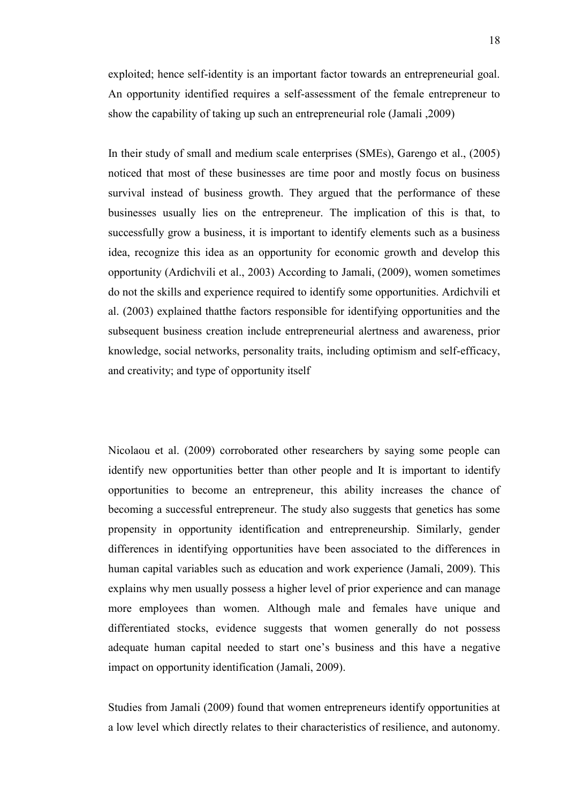exploited; hence self-identity is an important factor towards an entrepreneurial goal. An opportunity identified requires a self-assessment of the female entrepreneur to show the capability of taking up such an entrepreneurial role (Jamali ,2009)

In their study of small and medium scale enterprises (SMEs), Garengo et al., (2005) noticed that most of these businesses are time poor and mostly focus on business survival instead of business growth. They argued that the performance of these businesses usually lies on the entrepreneur. The implication of this is that, to successfully grow a business, it is important to identify elements such as a business idea, recognize this idea as an opportunity for economic growth and develop this opportunity (Ardichvili et al., 2003) According to Jamali, (2009), women sometimes do not the skills and experience required to identify some opportunities. Ardichvili et al. (2003) explained thatthe factors responsible for identifying opportunities and the subsequent business creation include entrepreneurial alertness and awareness, prior knowledge, social networks, personality traits, including optimism and self-efficacy, and creativity; and type of opportunity itself

Nicolaou et al. (2009) corroborated other researchers by saying some people can identify new opportunities better than other people and It is important to identify opportunities to become an entrepreneur, this ability increases the chance of becoming a successful entrepreneur. The study also suggests that genetics has some propensity in opportunity identification and entrepreneurship. Similarly, gender differences in identifying opportunities have been associated to the differences in human capital variables such as education and work experience (Jamali, 2009). This explains why men usually possess a higher level of prior experience and can manage more employees than women. Although male and females have unique and differentiated stocks, evidence suggests that women generally do not possess adequate human capital needed to start one's business and this have a negative impact on opportunity identification (Jamali, 2009).

Studies from Jamali (2009) found that women entrepreneurs identify opportunities at a low level which directly relates to their characteristics of resilience, and autonomy.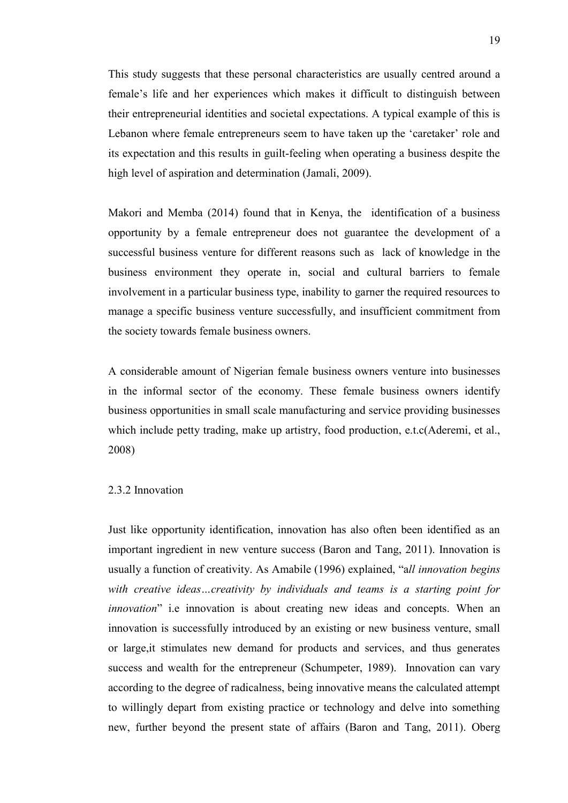This study suggests that these personal characteristics are usually centred around a female's life and her experiences which makes it difficult to distinguish between their entrepreneurial identities and societal expectations. A typical example of this is Lebanon where female entrepreneurs seem to have taken up the 'caretaker' role and its expectation and this results in guilt-feeling when operating a business despite the high level of aspiration and determination (Jamali, 2009).

Makori and Memba (2014) found that in Kenya, the identification of a business opportunity by a female entrepreneur does not guarantee the development of a successful business venture for different reasons such as lack of knowledge in the business environment they operate in, social and cultural barriers to female involvement in a particular business type, inability to garner the required resources to manage a specific business venture successfully, and insufficient commitment from the society towards female business owners.

A considerable amount of Nigerian female business owners venture into businesses in the informal sector of the economy. These female business owners identify business opportunities in small scale manufacturing and service providing businesses which include petty trading, make up artistry, food production, e.t.c(Aderemi, et al., 2008)

#### <span id="page-18-0"></span>2.3.2 Innovation

Just like opportunity identification, innovation has also often been identified as an important ingredient in new venture success (Baron and Tang, 2011). Innovation is usually a function of creativity. As Amabile (1996) explained, "a*ll innovation begins with creative ideas…creativity by individuals and teams is a starting point for innovation*" i.e innovation is about creating new ideas and concepts. When an innovation is successfully introduced by an existing or new business venture, small or large,it stimulates new demand for products and services, and thus generates success and wealth for the entrepreneur (Schumpeter, 1989). Innovation can vary according to the degree of radicalness, being innovative means the calculated attempt to willingly depart from existing practice or technology and delve into something new, further beyond the present state of affairs (Baron and Tang, 2011). Oberg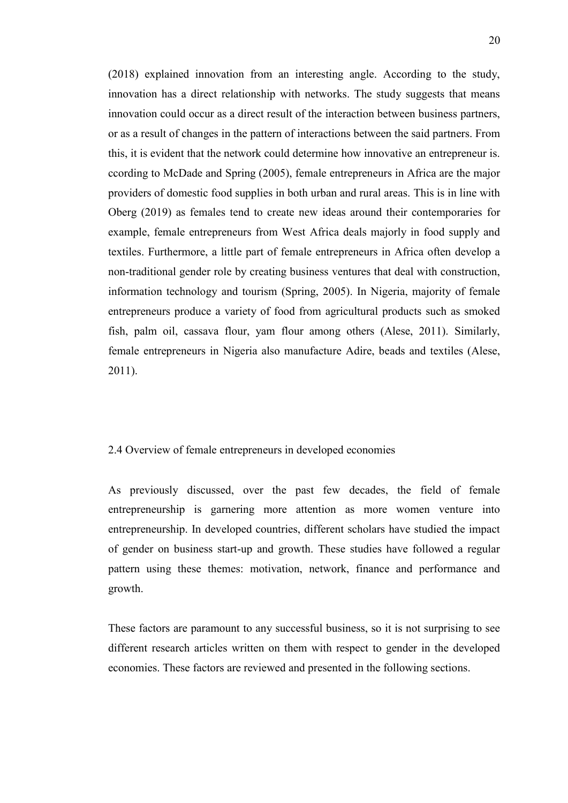(2018) explained innovation from an interesting angle. According to the study, innovation has a direct relationship with networks. The study suggests that means innovation could occur as a direct result of the interaction between business partners, or as a result of changes in the pattern of interactions between the said partners. From this, it is evident that the network could determine how innovative an entrepreneur is. ccording to McDade and Spring (2005), female entrepreneurs in Africa are the major providers of domestic food supplies in both urban and rural areas. This is in line with Oberg (2019) as females tend to create new ideas around their contemporaries for example, female entrepreneurs from West Africa deals majorly in food supply and textiles. Furthermore, a little part of female entrepreneurs in Africa often develop a non-traditional gender role by creating business ventures that deal with construction, information technology and tourism (Spring, 2005). In Nigeria, majority of female entrepreneurs produce a variety of food from agricultural products such as smoked fish, palm oil, cassava flour, yam flour among others (Alese, 2011). Similarly, female entrepreneurs in Nigeria also manufacture Adire, beads and textiles (Alese, 2011).

# <span id="page-19-0"></span>2.4 Overview of female entrepreneurs in developed economies

As previously discussed, over the past few decades, the field of female entrepreneurship is garnering more attention as more women venture into entrepreneurship. In developed countries, different scholars have studied the impact of gender on business start-up and growth. These studies have followed a regular pattern using these themes: motivation, network, finance and performance and growth.

These factors are paramount to any successful business, so it is not surprising to see different research articles written on them with respect to gender in the developed economies. These factors are reviewed and presented in the following sections.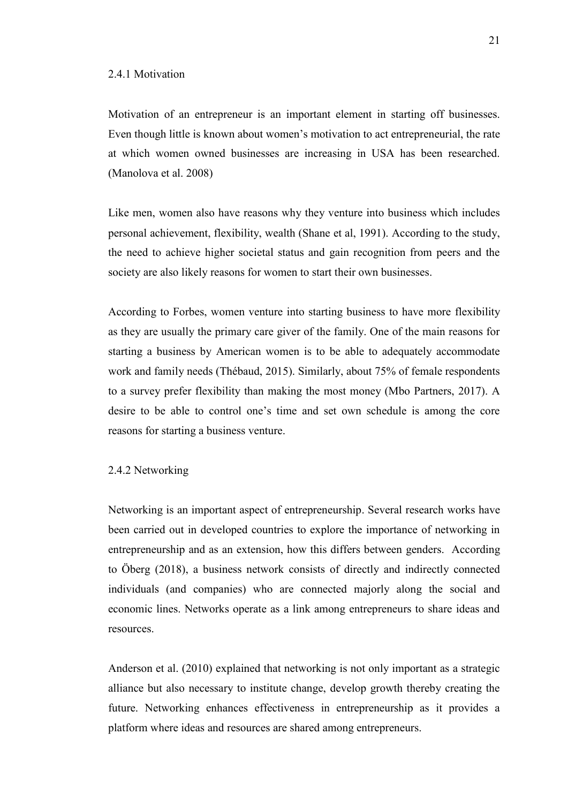#### <span id="page-20-0"></span>2.4.1 Motivation

Motivation of an entrepreneur is an important element in starting off businesses. Even though little is known about women's motivation to act entrepreneurial, the rate at which women owned businesses are increasing in USA has been researched. (Manolova et al. 2008)

Like men, women also have reasons why they venture into business which includes personal achievement, flexibility, wealth (Shane et al, 1991). According to the study, the need to achieve higher societal status and gain recognition from peers and the society are also likely reasons for women to start their own businesses.

According to Forbes, women venture into starting business to have more flexibility as they are usually the primary care giver of the family. One of the main reasons for starting a business by American women is to be able to adequately accommodate work and family needs (Thébaud, 2015). Similarly, about 75% of female respondents to a survey prefer flexibility than making the most money (Mbo Partners, 2017). A desire to be able to control one's time and set own schedule is among the core reasons for starting a business venture.

#### <span id="page-20-1"></span>2.4.2 Networking

Networking is an important aspect of entrepreneurship. Several research works have been carried out in developed countries to explore the importance of networking in entrepreneurship and as an extension, how this differs between genders. According to Öberg (2018), a business network consists of directly and indirectly connected individuals (and companies) who are connected majorly along the social and economic lines. Networks operate as a link among entrepreneurs to share ideas and resources.

Anderson et al. (2010) explained that networking is not only important as a strategic alliance but also necessary to institute change, develop growth thereby creating the future. Networking enhances effectiveness in entrepreneurship as it provides a platform where ideas and resources are shared among entrepreneurs.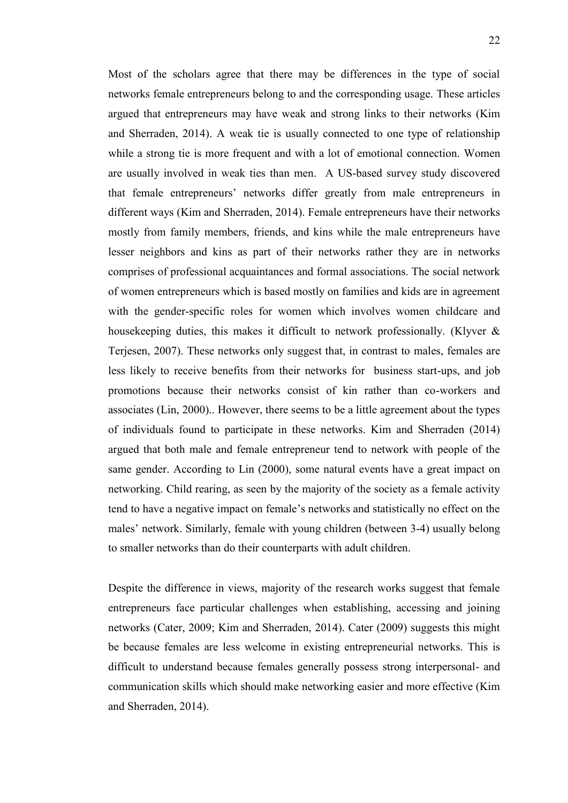Most of the scholars agree that there may be differences in the type of social networks female entrepreneurs belong to and the corresponding usage. These articles argued that entrepreneurs may have weak and strong links to their networks (Kim and Sherraden, 2014). A weak tie is usually connected to one type of relationship while a strong tie is more frequent and with a lot of emotional connection. Women are usually involved in weak ties than men. A US-based survey study discovered that female entrepreneurs' networks differ greatly from male entrepreneurs in different ways (Kim and Sherraden, 2014). Female entrepreneurs have their networks mostly from family members, friends, and kins while the male entrepreneurs have lesser neighbors and kins as part of their networks rather they are in networks comprises of professional acquaintances and formal associations. The social network of women entrepreneurs which is based mostly on families and kids are in agreement with the gender-specific roles for women which involves women childcare and housekeeping duties, this makes it difficult to network professionally. (Klyver & Terjesen, 2007). These networks only suggest that, in contrast to males, females are less likely to receive benefits from their networks for business start-ups, and job promotions because their networks consist of kin rather than co-workers and associates (Lin, 2000).. However, there seems to be a little agreement about the types of individuals found to participate in these networks. Kim and Sherraden (2014) argued that both male and female entrepreneur tend to network with people of the same gender. According to Lin (2000), some natural events have a great impact on networking. Child rearing, as seen by the majority of the society as a female activity tend to have a negative impact on female's networks and statistically no effect on the males' network. Similarly, female with young children (between 3-4) usually belong to smaller networks than do their counterparts with adult children.

Despite the difference in views, majority of the research works suggest that female entrepreneurs face particular challenges when establishing, accessing and joining networks (Cater, 2009; Kim and Sherraden, 2014). Cater (2009) suggests this might be because females are less welcome in existing entrepreneurial networks. This is difficult to understand because females generally possess strong interpersonal- and communication skills which should make networking easier and more effective (Kim and Sherraden, 2014).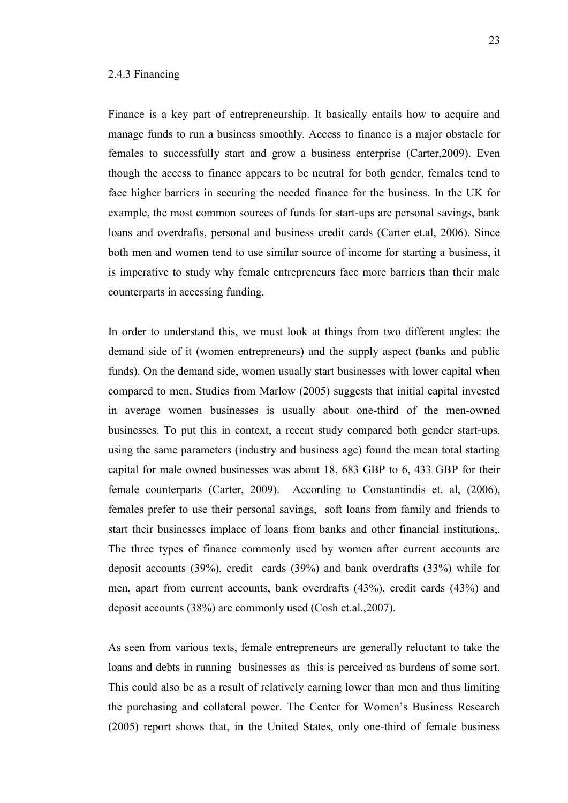<span id="page-22-0"></span>Finance is a key part of entrepreneurship. It basically entails how to acquire and manage funds to run a business smoothly. Access to finance is a major obstacle for females to successfully start and grow a business enterprise (Carter,2009). Even though the access to finance appears to be neutral for both gender, females tend to face higher barriers in securing the needed finance for the business. In the UK for example, the most common sources of funds for start-ups are personal savings, bank loans and overdrafts, personal and business credit cards (Carter et.al, 2006). Since both men and women tend to use similar source of income for starting a business, it is imperative to study why female entrepreneurs face more barriers than their male counterparts in accessing funding.

In order to understand this, we must look at things from two different angles: the demand side of it (women entrepreneurs) and the supply aspect (banks and public funds). On the demand side, women usually start businesses with lower capital when compared to men. Studies from Marlow (2005) suggests that initial capital invested in average women businesses is usually about one-third of the men-owned businesses. To put this in context, a recent study compared both gender start-ups, using the same parameters (industry and business age) found the mean total starting capital for male owned businesses was about 18, 683 GBP to 6, 433 GBP for their female counterparts (Carter, 2009). According to Constantindis et. al, (2006), females prefer to use their personal savings, soft loans from family and friends to start their businesses implace of loans from banks and other financial institutions,. The three types of finance commonly used by women after current accounts are deposit accounts (39%), credit cards (39%) and bank overdrafts (33%) while for men, apart from current accounts, bank overdrafts (43%), credit cards (43%) and deposit accounts (38%) are commonly used (Cosh et.al.,2007).

As seen from various texts, female entrepreneurs are generally reluctant to take the loans and debts in running businesses as this is perceived as burdens of some sort. This could also be as a result of relatively earning lower than men and thus limiting the purchasing and collateral power. The Center for Women's Business Research (2005) report shows that, in the United States, only one-third of female business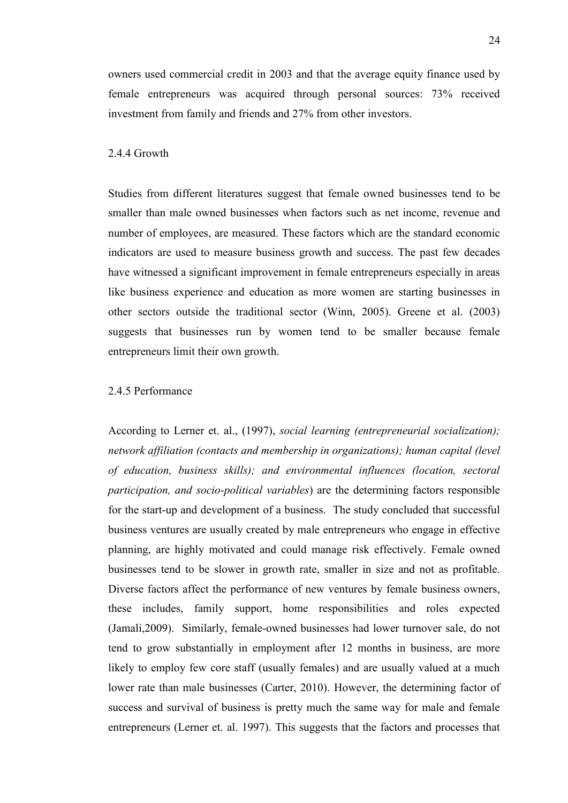owners used commercial credit in 2003 and that the average equity finance used by female entrepreneurs was acquired through personal sources: 73% received investment from family and friends and 27% from other investors.

# <span id="page-23-0"></span>2.4.4 Growth

Studies from different literatures suggest that female owned businesses tend to be smaller than male owned businesses when factors such as net income, revenue and number of employees, are measured. These factors which are the standard economic indicators are used to measure business growth and success. The past few decades have witnessed a significant improvement in female entrepreneurs especially in areas like business experience and education as more women are starting businesses in other sectors outside the traditional sector (Winn, 2005). Greene et al. (2003) suggests that businesses run by women tend to be smaller because female entrepreneurs limit their own growth.

# <span id="page-23-1"></span>2.4.5 Performance

According to Lerner et. al., (1997), *social learning (entrepreneurial socialization); network affiliation (contacts and membership in organizations); human capital (level of education, business skills); and environmental influences (location, sectoral participation, and socio-political variables*) are the determining factors responsible for the start-up and development of a business. The study concluded that successful business ventures are usually created by male entrepreneurs who engage in effective planning, are highly motivated and could manage risk effectively. Female owned businesses tend to be slower in growth rate, smaller in size and not as profitable. Diverse factors affect the performance of new ventures by female business owners, these includes, family support, home responsibilities and roles expected (Jamali,2009). Similarly, female-owned businesses had lower turnover sale, do not tend to grow substantially in employment after 12 months in business, are more likely to employ few core staff (usually females) and are usually valued at a much lower rate than male businesses (Carter, 2010). However, the determining factor of success and survival of business is pretty much the same way for male and female entrepreneurs (Lerner et. al. 1997). This suggests that the factors and processes that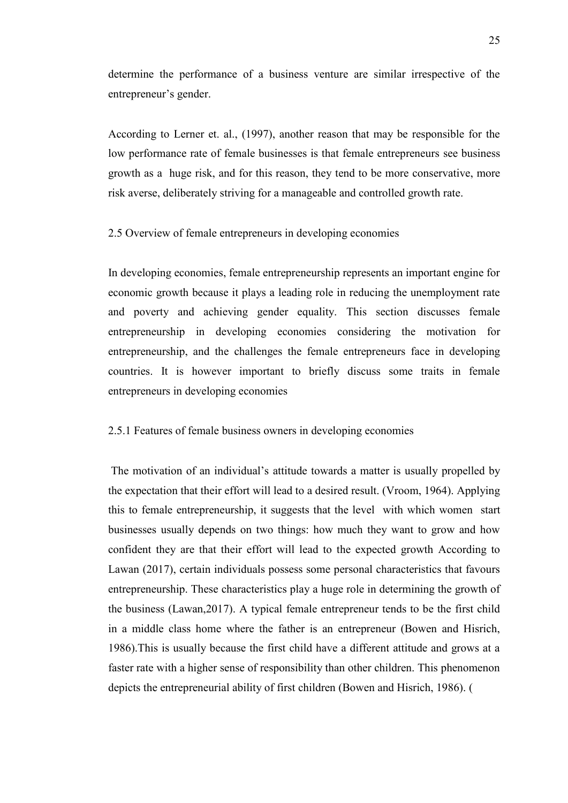determine the performance of a business venture are similar irrespective of the entrepreneur's gender.

According to Lerner et. al., (1997), another reason that may be responsible for the low performance rate of female businesses is that female entrepreneurs see business growth as a huge risk, and for this reason, they tend to be more conservative, more risk averse, deliberately striving for a manageable and controlled growth rate.

#### <span id="page-24-0"></span>2.5 Overview of female entrepreneurs in developing economies

In developing economies, female entrepreneurship represents an important engine for economic growth because it plays a leading role in reducing the unemployment rate and poverty and achieving gender equality. This section discusses female entrepreneurship in developing economies considering the motivation for entrepreneurship, and the challenges the female entrepreneurs face in developing countries. It is however important to briefly discuss some traits in female entrepreneurs in developing economies

### <span id="page-24-1"></span>2.5.1 Features of female business owners in developing economies

The motivation of an individual's attitude towards a matter is usually propelled by the expectation that their effort will lead to a desired result. (Vroom, 1964). Applying this to female entrepreneurship, it suggests that the level with which women start businesses usually depends on two things: how much they want to grow and how confident they are that their effort will lead to the expected growth According to Lawan (2017), certain individuals possess some personal characteristics that favours entrepreneurship. These characteristics play a huge role in determining the growth of the business (Lawan,2017). A typical female entrepreneur tends to be the first child in a middle class home where the father is an entrepreneur (Bowen and Hisrich, 1986).This is usually because the first child have a different attitude and grows at a faster rate with a higher sense of responsibility than other children. This phenomenon depicts the entrepreneurial ability of first children (Bowen and Hisrich, 1986). (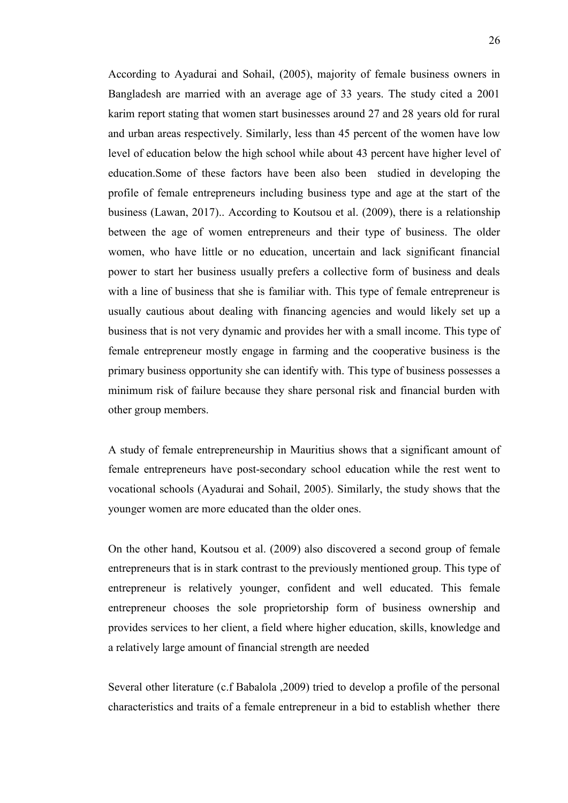According to Ayadurai and Sohail, (2005), majority of female business owners in Bangladesh are married with an average age of 33 years. The study cited a 2001 karim report stating that women start businesses around 27 and 28 years old for rural and urban areas respectively. Similarly, less than 45 percent of the women have low level of education below the high school while about 43 percent have higher level of education.Some of these factors have been also been studied in developing the profile of female entrepreneurs including business type and age at the start of the business (Lawan, 2017).. According to Koutsou et al. (2009), there is a relationship between the age of women entrepreneurs and their type of business. The older women, who have little or no education, uncertain and lack significant financial power to start her business usually prefers a collective form of business and deals with a line of business that she is familiar with. This type of female entrepreneur is usually cautious about dealing with financing agencies and would likely set up a business that is not very dynamic and provides her with a small income. This type of female entrepreneur mostly engage in farming and the cooperative business is the primary business opportunity she can identify with. This type of business possesses a minimum risk of failure because they share personal risk and financial burden with other group members.

A study of female entrepreneurship in Mauritius shows that a significant amount of female entrepreneurs have post-secondary school education while the rest went to vocational schools (Ayadurai and Sohail, 2005). Similarly, the study shows that the younger women are more educated than the older ones.

On the other hand, Koutsou et al. (2009) also discovered a second group of female entrepreneurs that is in stark contrast to the previously mentioned group. This type of entrepreneur is relatively younger, confident and well educated. This female entrepreneur chooses the sole proprietorship form of business ownership and provides services to her client, a field where higher education, skills, knowledge and a relatively large amount of financial strength are needed

Several other literature (c.f Babalola ,2009) tried to develop a profile of the personal characteristics and traits of a female entrepreneur in a bid to establish whether there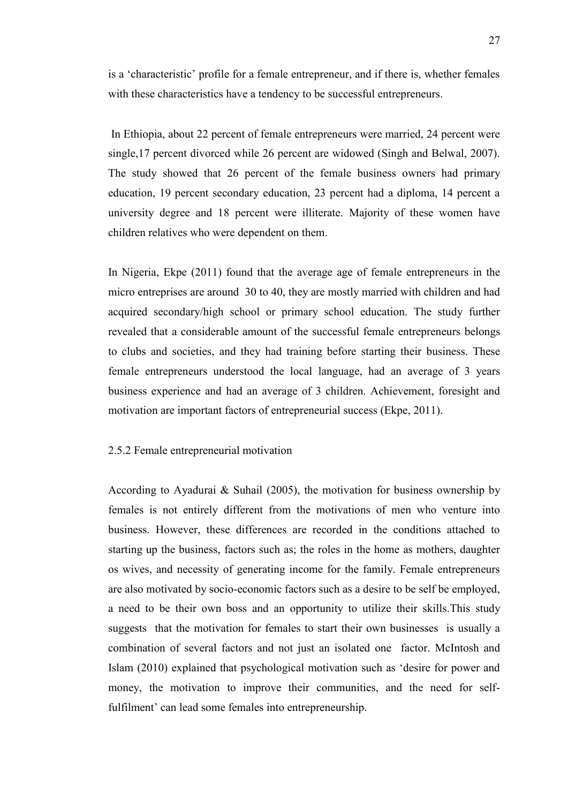is a 'characteristic' profile for a female entrepreneur, and if there is, whether females with these characteristics have a tendency to be successful entrepreneurs.

In Ethiopia, about 22 percent of female entrepreneurs were married, 24 percent were single,17 percent divorced while 26 percent are widowed (Singh and Belwal, 2007). The study showed that 26 percent of the female business owners had primary education, 19 percent secondary education, 23 percent had a diploma, 14 percent a university degree and 18 percent were illiterate. Majority of these women have children relatives who were dependent on them.

In Nigeria, Ekpe (2011) found that the average age of female entrepreneurs in the micro entreprises are around 30 to 40, they are mostly married with children and had acquired secondary/high school or primary school education. The study further revealed that a considerable amount of the successful female entrepreneurs belongs to clubs and societies, and they had training before starting their business. These female entrepreneurs understood the local language, had an average of 3 years business experience and had an average of 3 children. Achievement, foresight and motivation are important factors of entrepreneurial success (Ekpe, 2011).

#### <span id="page-26-0"></span>2.5.2 Female entrepreneurial motivation

According to Ayadurai & Suhail (2005), the motivation for business ownership by females is not entirely different from the motivations of men who venture into business. However, these differences are recorded in the conditions attached to starting up the business, factors such as; the roles in the home as mothers, daughter os wives, and necessity of generating income for the family. Female entrepreneurs are also motivated by socio-economic factors such as a desire to be self be employed, a need to be their own boss and an opportunity to utilize their skills.This study suggests that the motivation for females to start their own businesses is usually a combination of several factors and not just an isolated one factor. McIntosh and Islam (2010) explained that psychological motivation such as 'desire for power and money, the motivation to improve their communities, and the need for selffulfilment' can lead some females into entrepreneurship.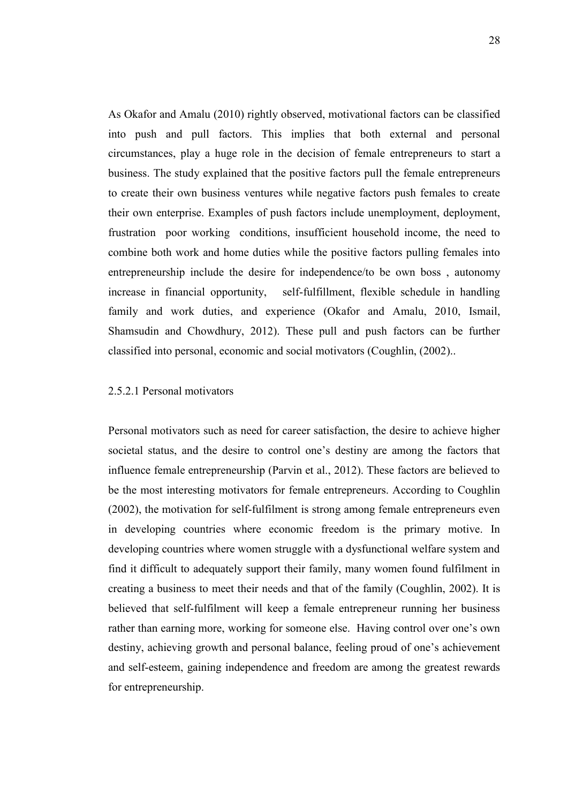As Okafor and Amalu (2010) rightly observed, motivational factors can be classified into push and pull factors. This implies that both external and personal circumstances, play a huge role in the decision of female entrepreneurs to start a business. The study explained that the positive factors pull the female entrepreneurs to create their own business ventures while negative factors push females to create their own enterprise. Examples of push factors include unemployment, deployment, frustration poor working conditions, insufficient household income, the need to combine both work and home duties while the positive factors pulling females into entrepreneurship include the desire for independence/to be own boss , autonomy increase in financial opportunity, self-fulfillment, flexible schedule in handling family and work duties, and experience (Okafor and Amalu, 2010, Ismail, Shamsudin and Chowdhury, 2012). These pull and push factors can be further classified into personal, economic and social motivators (Coughlin, (2002)..

# <span id="page-27-0"></span>2.5.2.1 Personal motivators

Personal motivators such as need for career satisfaction, the desire to achieve higher societal status, and the desire to control one's destiny are among the factors that influence female entrepreneurship (Parvin et al., 2012). These factors are believed to be the most interesting motivators for female entrepreneurs. According to Coughlin (2002), the motivation for self-fulfilment is strong among female entrepreneurs even in developing countries where economic freedom is the primary motive. In developing countries where women struggle with a dysfunctional welfare system and find it difficult to adequately support their family, many women found fulfilment in creating a business to meet their needs and that of the family (Coughlin, 2002). It is believed that self-fulfilment will keep a female entrepreneur running her business rather than earning more, working for someone else. Having control over one's own destiny, achieving growth and personal balance, feeling proud of one's achievement and self-esteem, gaining independence and freedom are among the greatest rewards for entrepreneurship.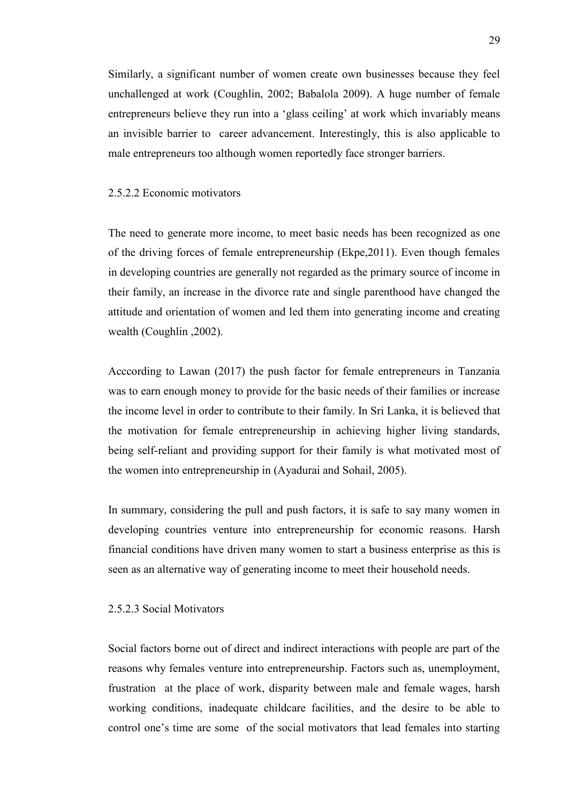Similarly, a significant number of women create own businesses because they feel unchallenged at work (Coughlin, 2002; Babalola 2009). A huge number of female entrepreneurs believe they run into a 'glass ceiling' at work which invariably means an invisible barrier to career advancement. Interestingly, this is also applicable to male entrepreneurs too although women reportedly face stronger barriers.

# <span id="page-28-0"></span>2.5.2.2 Economic motivators

The need to generate more income, to meet basic needs has been recognized as one of the driving forces of female entrepreneurship (Ekpe,2011). Even though females in developing countries are generally not regarded as the primary source of income in their family, an increase in the divorce rate and single parenthood have changed the attitude and orientation of women and led them into generating income and creating wealth (Coughlin ,2002).

Acccording to Lawan (2017) the push factor for female entrepreneurs in Tanzania was to earn enough money to provide for the basic needs of their families or increase the income level in order to contribute to their family. In Sri Lanka, it is believed that the motivation for female entrepreneurship in achieving higher living standards, being self-reliant and providing support for their family is what motivated most of the women into entrepreneurship in (Ayadurai and Sohail, 2005).

In summary, considering the pull and push factors, it is safe to say many women in developing countries venture into entrepreneurship for economic reasons. Harsh financial conditions have driven many women to start a business enterprise as this is seen as an alternative way of generating income to meet their household needs.

### <span id="page-28-1"></span>2.5.2.3 Social Motivators

Social factors borne out of direct and indirect interactions with people are part of the reasons why females venture into entrepreneurship. Factors such as, unemployment, frustration at the place of work, disparity between male and female wages, harsh working conditions, inadequate childcare facilities, and the desire to be able to control one's time are some of the social motivators that lead females into starting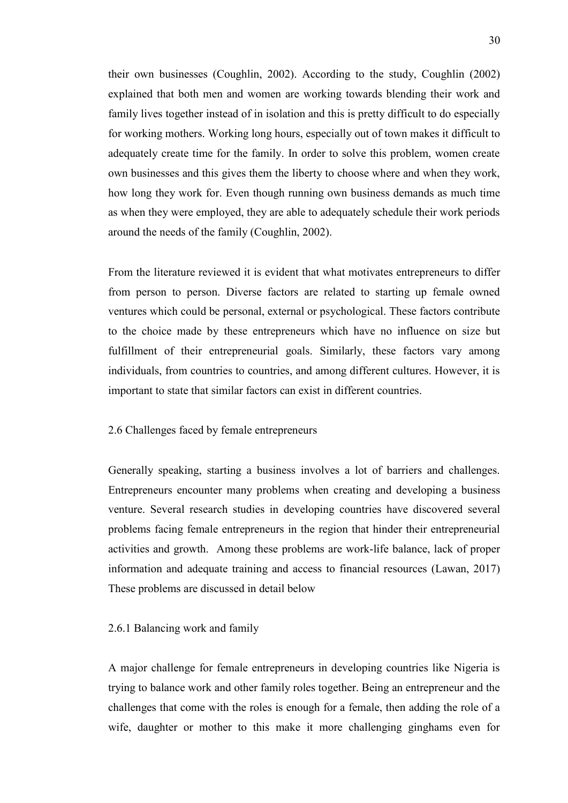their own businesses (Coughlin, 2002). According to the study, Coughlin (2002) explained that both men and women are working towards blending their work and family lives together instead of in isolation and this is pretty difficult to do especially for working mothers. Working long hours, especially out of town makes it difficult to adequately create time for the family. In order to solve this problem, women create own businesses and this gives them the liberty to choose where and when they work, how long they work for. Even though running own business demands as much time as when they were employed, they are able to adequately schedule their work periods around the needs of the family (Coughlin, 2002).

From the literature reviewed it is evident that what motivates entrepreneurs to differ from person to person. Diverse factors are related to starting up female owned ventures which could be personal, external or psychological. These factors contribute to the choice made by these entrepreneurs which have no influence on size but fulfillment of their entrepreneurial goals. Similarly, these factors vary among individuals, from countries to countries, and among different cultures. However, it is important to state that similar factors can exist in different countries.

#### <span id="page-29-0"></span>2.6 Challenges faced by female entrepreneurs

Generally speaking, starting a business involves a lot of barriers and challenges. Entrepreneurs encounter many problems when creating and developing a business venture. Several research studies in developing countries have discovered several problems facing female entrepreneurs in the region that hinder their entrepreneurial activities and growth. Among these problems are work-life balance, lack of proper information and adequate training and access to financial resources (Lawan, 2017) These problems are discussed in detail below

#### <span id="page-29-1"></span>2.6.1 Balancing work and family

A major challenge for female entrepreneurs in developing countries like Nigeria is trying to balance work and other family roles together. Being an entrepreneur and the challenges that come with the roles is enough for a female, then adding the role of a wife, daughter or mother to this make it more challenging ginghams even for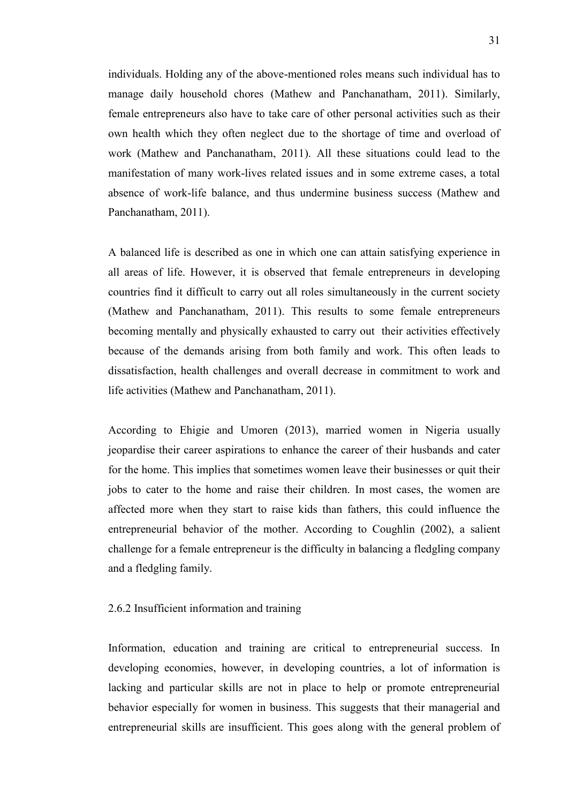individuals. Holding any of the above-mentioned roles means such individual has to manage daily household chores (Mathew and Panchanatham, 2011). Similarly, female entrepreneurs also have to take care of other personal activities such as their own health which they often neglect due to the shortage of time and overload of work (Mathew and Panchanatham, 2011). All these situations could lead to the manifestation of many work-lives related issues and in some extreme cases, a total absence of work-life balance, and thus undermine business success (Mathew and Panchanatham, 2011).

A balanced life is described as one in which one can attain satisfying experience in all areas of life. However, it is observed that female entrepreneurs in developing countries find it difficult to carry out all roles simultaneously in the current society (Mathew and Panchanatham, 2011). This results to some female entrepreneurs becoming mentally and physically exhausted to carry out their activities effectively because of the demands arising from both family and work. This often leads to dissatisfaction, health challenges and overall decrease in commitment to work and life activities (Mathew and Panchanatham, 2011).

According to Ehigie and Umoren (2013), married women in Nigeria usually jeopardise their career aspirations to enhance the career of their husbands and cater for the home. This implies that sometimes women leave their businesses or quit their jobs to cater to the home and raise their children. In most cases, the women are affected more when they start to raise kids than fathers, this could influence the entrepreneurial behavior of the mother. According to Coughlin (2002), a salient challenge for a female entrepreneur is the difficulty in balancing a fledgling company and a fledgling family.

# <span id="page-30-0"></span>2.6.2 Insufficient information and training

Information, education and training are critical to entrepreneurial success. In developing economies, however, in developing countries, a lot of information is lacking and particular skills are not in place to help or promote entrepreneurial behavior especially for women in business. This suggests that their managerial and entrepreneurial skills are insufficient. This goes along with the general problem of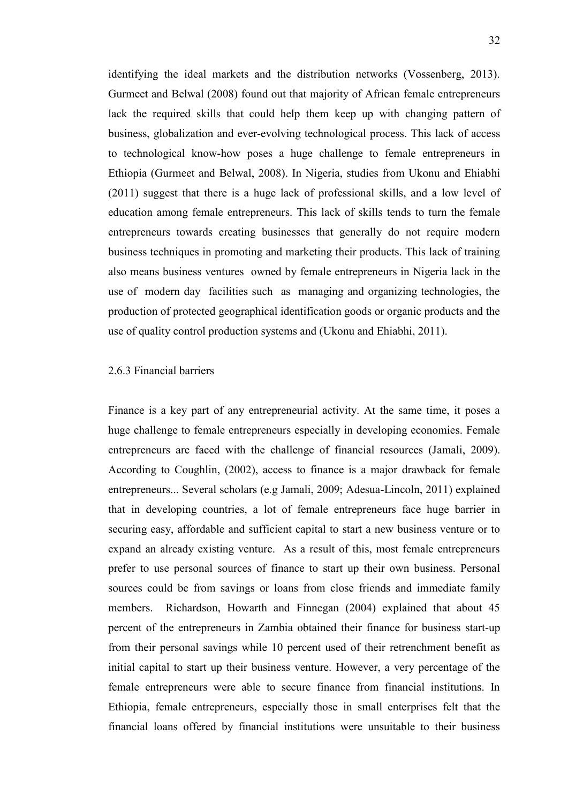identifying the ideal markets and the distribution networks (Vossenberg, 2013). Gurmeet and Belwal (2008) found out that majority of African female entrepreneurs lack the required skills that could help them keep up with changing pattern of business, globalization and ever-evolving technological process. This lack of access to technological know-how poses a huge challenge to female entrepreneurs in Ethiopia (Gurmeet and Belwal, 2008). In Nigeria, studies from Ukonu and Ehiabhi (2011) suggest that there is a huge lack of professional skills, and a low level of education among female entrepreneurs. This lack of skills tends to turn the female entrepreneurs towards creating businesses that generally do not require modern business techniques in promoting and marketing their products. This lack of training also means business ventures owned by female entrepreneurs in Nigeria lack in the use of modern day facilities such as managing and organizing technologies, the production of protected geographical identification goods or organic products and the use of quality control production systems and (Ukonu and Ehiabhi, 2011).

# <span id="page-31-0"></span>2.6.3 Financial barriers

Finance is a key part of any entrepreneurial activity. At the same time, it poses a huge challenge to female entrepreneurs especially in developing economies. Female entrepreneurs are faced with the challenge of financial resources (Jamali, 2009). According to Coughlin, (2002), access to finance is a major drawback for female entrepreneurs... Several scholars (e.g Jamali, 2009; Adesua-Lincoln, 2011) explained that in developing countries, a lot of female entrepreneurs face huge barrier in securing easy, affordable and sufficient capital to start a new business venture or to expand an already existing venture. As a result of this, most female entrepreneurs prefer to use personal sources of finance to start up their own business. Personal sources could be from savings or loans from close friends and immediate family members. Richardson, Howarth and Finnegan (2004) explained that about 45 percent of the entrepreneurs in Zambia obtained their finance for business start-up from their personal savings while 10 percent used of their retrenchment benefit as initial capital to start up their business venture. However, a very percentage of the female entrepreneurs were able to secure finance from financial institutions. In Ethiopia, female entrepreneurs, especially those in small enterprises felt that the financial loans offered by financial institutions were unsuitable to their business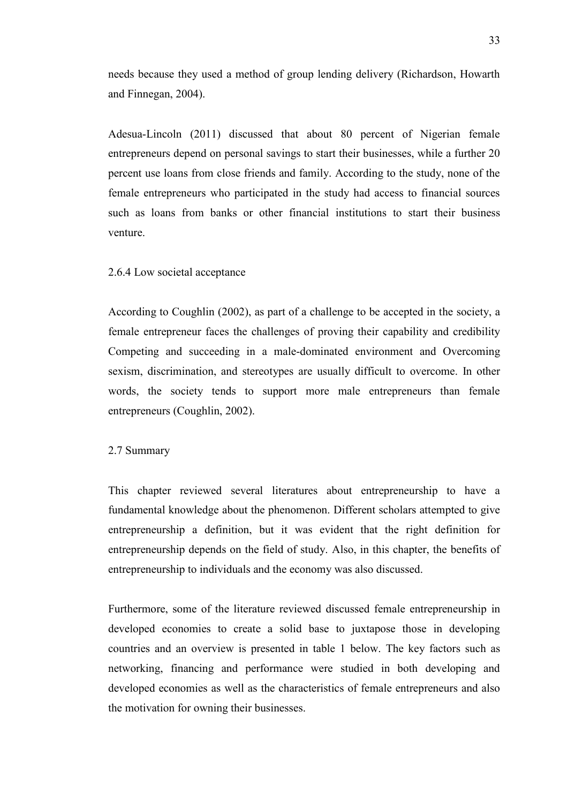needs because they used a method of group lending delivery (Richardson, Howarth and Finnegan, 2004).

Adesua-Lincoln (2011) discussed that about 80 percent of Nigerian female entrepreneurs depend on personal savings to start their businesses, while a further 20 percent use loans from close friends and family. According to the study, none of the female entrepreneurs who participated in the study had access to financial sources such as loans from banks or other financial institutions to start their business venture.

#### 2.6.4 Low societal acceptance

According to Coughlin (2002), as part of a challenge to be accepted in the society, a female entrepreneur faces the challenges of proving their capability and credibility Competing and succeeding in a male-dominated environment and Overcoming sexism, discrimination, and stereotypes are usually difficult to overcome. In other words, the society tends to support more male entrepreneurs than female entrepreneurs (Coughlin, 2002).

#### <span id="page-32-0"></span>2.7 Summary

This chapter reviewed several literatures about entrepreneurship to have a fundamental knowledge about the phenomenon. Different scholars attempted to give entrepreneurship a definition, but it was evident that the right definition for entrepreneurship depends on the field of study. Also, in this chapter, the benefits of entrepreneurship to individuals and the economy was also discussed.

Furthermore, some of the literature reviewed discussed female entrepreneurship in developed economies to create a solid base to juxtapose those in developing countries and an overview is presented in table 1 below. The key factors such as networking, financing and performance were studied in both developing and developed economies as well as the characteristics of female entrepreneurs and also the motivation for owning their businesses.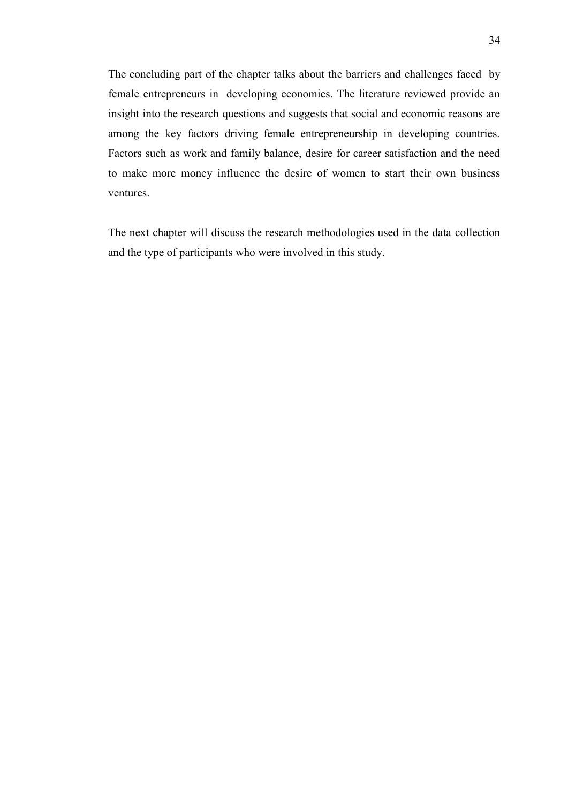The concluding part of the chapter talks about the barriers and challenges faced by female entrepreneurs in developing economies. The literature reviewed provide an insight into the research questions and suggests that social and economic reasons are among the key factors driving female entrepreneurship in developing countries. Factors such as work and family balance, desire for career satisfaction and the need to make more money influence the desire of women to start their own business ventures.

The next chapter will discuss the research methodologies used in the data collection and the type of participants who were involved in this study.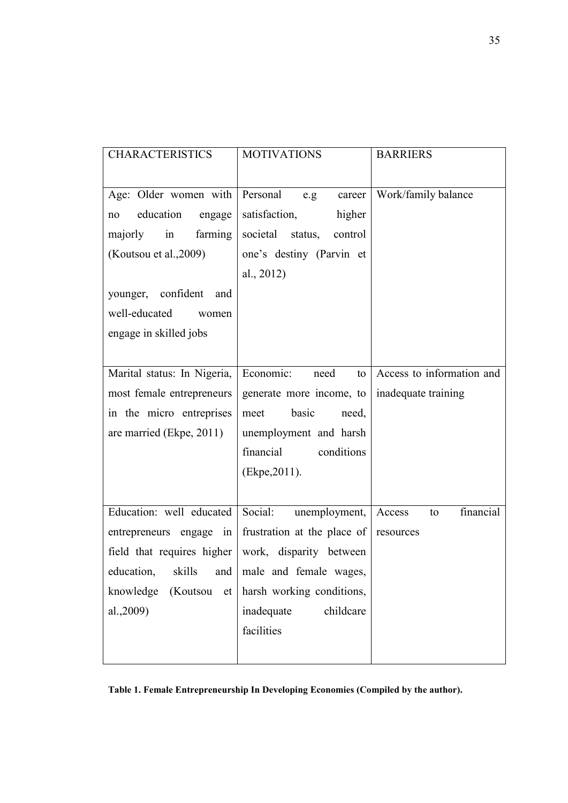| <b>CHARACTERISTICS</b>                             | <b>MOTIVATIONS</b>                                            | <b>BARRIERS</b>           |
|----------------------------------------------------|---------------------------------------------------------------|---------------------------|
|                                                    |                                                               |                           |
| Age: Older women with                              | Personal e.g<br>career                                        | Work/family balance       |
| education<br>engage<br>no                          | satisfaction,<br>higher                                       |                           |
| majorly in<br>farming                              | societal status,<br>control                                   |                           |
| (Koutsou et al., 2009)                             | one's destiny (Parvin et                                      |                           |
|                                                    | al., 2012)                                                    |                           |
| younger, confident<br>and                          |                                                               |                           |
| well-educated<br>women                             |                                                               |                           |
| engage in skilled jobs                             |                                                               |                           |
|                                                    |                                                               |                           |
| Marital status: In Nigeria,                        | Economic:<br>need<br>to                                       | Access to information and |
| most female entrepreneurs                          | generate more income, to                                      | inadequate training       |
| in the micro entreprises                           | basic<br>meet<br>need,                                        |                           |
| are married (Ekpe, 2011)                           | unemployment and harsh                                        |                           |
|                                                    | financial<br>conditions                                       |                           |
|                                                    | (Ekpe, 2011).                                                 |                           |
|                                                    |                                                               |                           |
| Education: well educated                           | Social: unemployment,                                         | financial<br>Access<br>to |
|                                                    | entrepreneurs engage in frustration at the place of resources |                           |
| field that requires higher work, disparity between |                                                               |                           |
|                                                    | education, skills and male and female wages,                  |                           |
| knowledge<br>(Koutsou<br>et                        | harsh working conditions,                                     |                           |
| al.,2009)                                          | inadequate<br>childcare                                       |                           |
|                                                    | facilities                                                    |                           |
|                                                    |                                                               |                           |

<span id="page-34-0"></span>**Table 1. Female Entrepreneurship In Developing Economies (Compiled by the author).**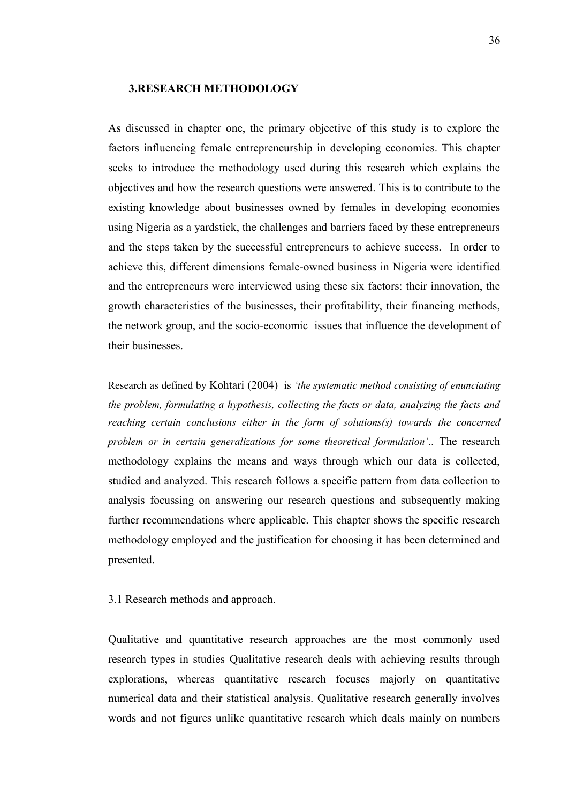# <span id="page-35-0"></span>**3.RESEARCH METHODOLOGY**

As discussed in chapter one, the primary objective of this study is to explore the factors influencing female entrepreneurship in developing economies. This chapter seeks to introduce the methodology used during this research which explains the objectives and how the research questions were answered. This is to contribute to the existing knowledge about businesses owned by females in developing economies using Nigeria as a yardstick, the challenges and barriers faced by these entrepreneurs and the steps taken by the successful entrepreneurs to achieve success. In order to achieve this, different dimensions female-owned business in Nigeria were identified and the entrepreneurs were interviewed using these six factors: their innovation, the growth characteristics of the businesses, their profitability, their financing methods, the network group, and the socio-economic issues that influence the development of their businesses.

Research as defined by Kohtari (2004) is *'the systematic method consisting of enunciating the problem, formulating a hypothesis, collecting the facts or data, analyzing the facts and reaching certain conclusions either in the form of solutions(s) towards the concerned problem or in certain generalizations for some theoretical formulation'*.. The research methodology explains the means and ways through which our data is collected, studied and analyzed. This research follows a specific pattern from data collection to analysis focussing on answering our research questions and subsequently making further recommendations where applicable. This chapter shows the specific research methodology employed and the justification for choosing it has been determined and presented.

#### <span id="page-35-1"></span>3.1 Research methods and approach.

Qualitative and quantitative research approaches are the most commonly used research types in studies Qualitative research deals with achieving results through explorations, whereas quantitative research focuses majorly on quantitative numerical data and their statistical analysis. Qualitative research generally involves words and not figures unlike quantitative research which deals mainly on numbers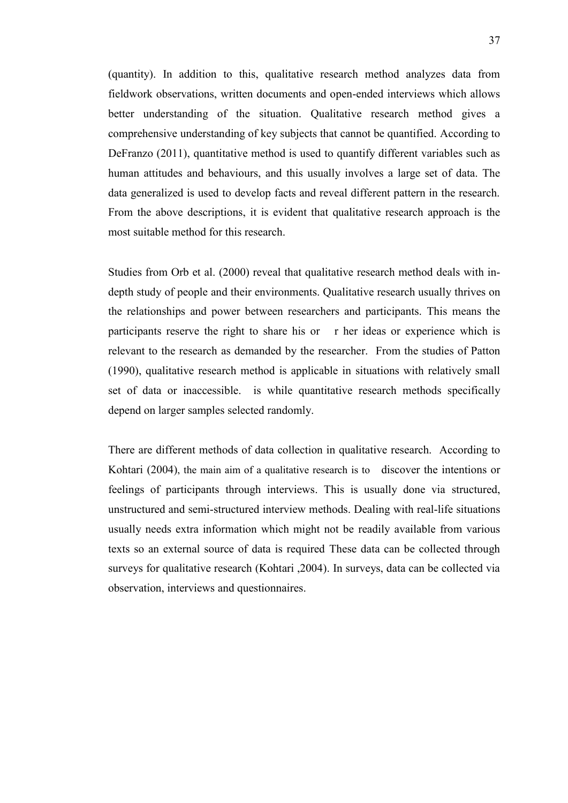(quantity). In addition to this, qualitative research method analyzes data from fieldwork observations, written documents and open-ended interviews which allows better understanding of the situation. Qualitative research method gives a comprehensive understanding of key subjects that cannot be quantified. According to DeFranzo (2011), quantitative method is used to quantify different variables such as human attitudes and behaviours, and this usually involves a large set of data. The data generalized is used to develop facts and reveal different pattern in the research. From the above descriptions, it is evident that qualitative research approach is the most suitable method for this research.

Studies from Orb et al. (2000) reveal that qualitative research method deals with indepth study of people and their environments. Qualitative research usually thrives on the relationships and power between researchers and participants. This means the participants reserve the right to share his or r her ideas or experience which is relevant to the research as demanded by the researcher. From the studies of Patton (1990), qualitative research method is applicable in situations with relatively small set of data or inaccessible. is while quantitative research methods specifically depend on larger samples selected randomly.

There are different methods of data collection in qualitative research. According to Kohtari (2004), the main aim of a qualitative research is to discover the intentions or feelings of participants through interviews. This is usually done via structured, unstructured and semi-structured interview methods. Dealing with real-life situations usually needs extra information which might not be readily available from various texts so an external source of data is required These data can be collected through surveys for qualitative research (Kohtari ,2004). In surveys, data can be collected via observation, interviews and questionnaires.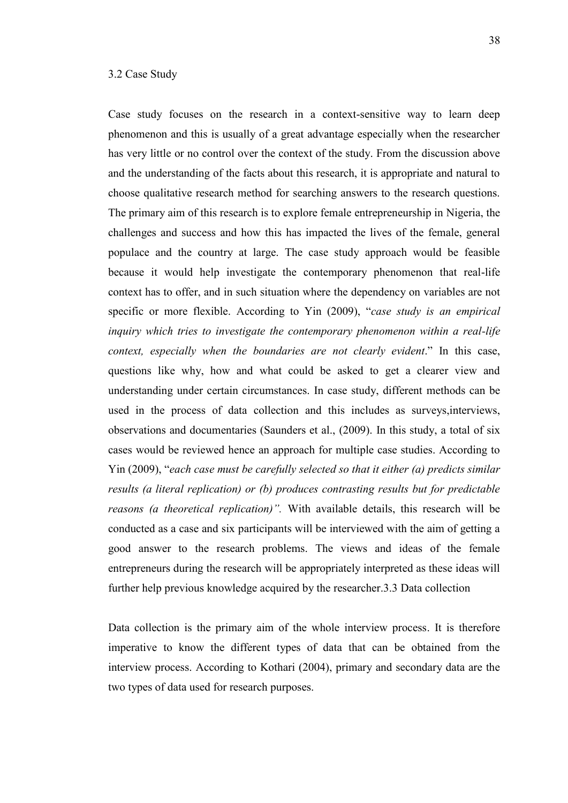#### 3.2 Case Study

Case study focuses on the research in a context-sensitive way to learn deep phenomenon and this is usually of a great advantage especially when the researcher has very little or no control over the context of the study. From the discussion above and the understanding of the facts about this research, it is appropriate and natural to choose qualitative research method for searching answers to the research questions. The primary aim of this research is to explore female entrepreneurship in Nigeria, the challenges and success and how this has impacted the lives of the female, general populace and the country at large. The case study approach would be feasible because it would help investigate the contemporary phenomenon that real-life context has to offer, and in such situation where the dependency on variables are not specific or more flexible. According to Yin (2009), "*case study is an empirical inquiry which tries to investigate the contemporary phenomenon within a real-life context, especially when the boundaries are not clearly evident*." In this case, questions like why, how and what could be asked to get a clearer view and understanding under certain circumstances. In case study, different methods can be used in the process of data collection and this includes as surveys,interviews, observations and documentaries (Saunders et al., (2009). In this study, a total of six cases would be reviewed hence an approach for multiple case studies. According to Yin (2009), "*each case must be carefully selected so that it either (a) predicts similar results (a literal replication) or (b) produces contrasting results but for predictable reasons (a theoretical replication)".* With available details, this research will be conducted as a case and six participants will be interviewed with the aim of getting a good answer to the research problems. The views and ideas of the female entrepreneurs during the research will be appropriately interpreted as these ideas will further help previous knowledge acquired by the researcher.3.3 Data collection

Data collection is the primary aim of the whole interview process. It is therefore imperative to know the different types of data that can be obtained from the interview process. According to Kothari (2004), primary and secondary data are the two types of data used for research purposes.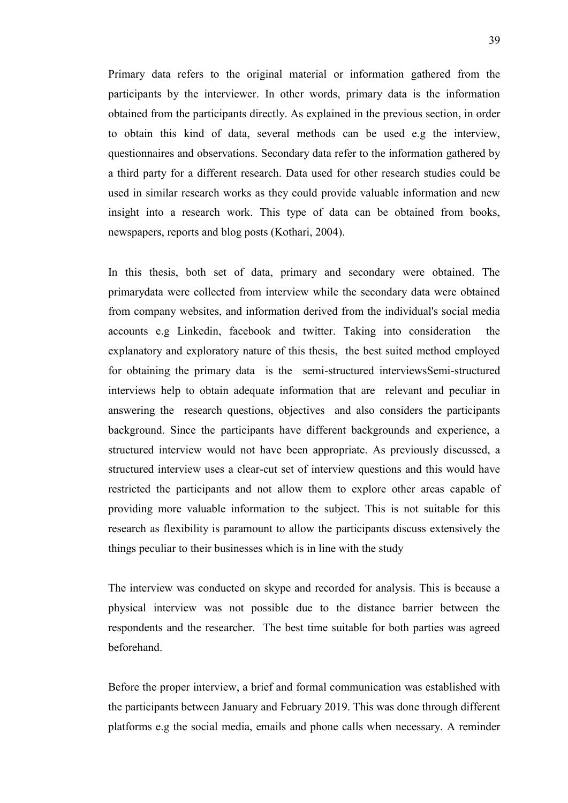Primary data refers to the original material or information gathered from the participants by the interviewer. In other words, primary data is the information obtained from the participants directly. As explained in the previous section, in order to obtain this kind of data, several methods can be used e.g the interview, questionnaires and observations. Secondary data refer to the information gathered by a third party for a different research. Data used for other research studies could be used in similar research works as they could provide valuable information and new insight into a research work. This type of data can be obtained from books, newspapers, reports and blog posts (Kothari, 2004).

In this thesis, both set of data, primary and secondary were obtained. The primarydata were collected from interview while the secondary data were obtained from company websites, and information derived from the individual's social media accounts e.g Linkedin, facebook and twitter. Taking into consideration the explanatory and exploratory nature of this thesis, the best suited method employed for obtaining the primary data is the semi-structured interviewsSemi-structured interviews help to obtain adequate information that are relevant and peculiar in answering the research questions, objectives and also considers the participants background. Since the participants have different backgrounds and experience, a structured interview would not have been appropriate. As previously discussed, a structured interview uses a clear-cut set of interview questions and this would have restricted the participants and not allow them to explore other areas capable of providing more valuable information to the subject. This is not suitable for this research as flexibility is paramount to allow the participants discuss extensively the things peculiar to their businesses which is in line with the study

The interview was conducted on skype and recorded for analysis. This is because a physical interview was not possible due to the distance barrier between the respondents and the researcher. The best time suitable for both parties was agreed beforehand.

Before the proper interview, a brief and formal communication was established with the participants between January and February 2019. This was done through different platforms e.g the social media, emails and phone calls when necessary. A reminder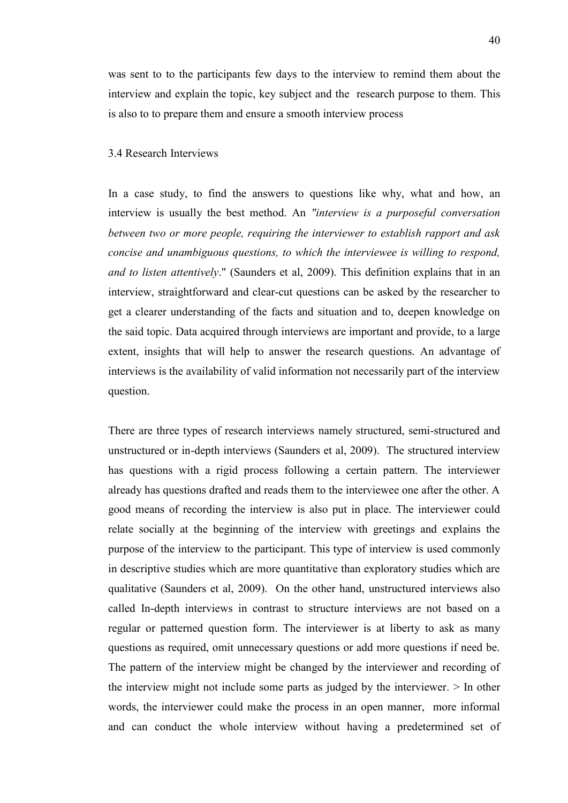was sent to to the participants few days to the interview to remind them about the interview and explain the topic, key subject and the research purpose to them. This is also to to prepare them and ensure a smooth interview process

# 3.4 Research Interviews

In a case study, to find the answers to questions like why, what and how, an interview is usually the best method. An *"interview is a purposeful conversation between two or more people, requiring the interviewer to establish rapport and ask concise and unambiguous questions, to which the interviewee is willing to respond, and to listen attentively*." (Saunders et al, 2009). This definition explains that in an interview, straightforward and clear-cut questions can be asked by the researcher to get a clearer understanding of the facts and situation and to, deepen knowledge on the said topic. Data acquired through interviews are important and provide, to a large extent, insights that will help to answer the research questions. An advantage of interviews is the availability of valid information not necessarily part of the interview question.

There are three types of research interviews namely structured, semi-structured and unstructured or in-depth interviews (Saunders et al, 2009). The structured interview has questions with a rigid process following a certain pattern. The interviewer already has questions drafted and reads them to the interviewee one after the other. A good means of recording the interview is also put in place. The interviewer could relate socially at the beginning of the interview with greetings and explains the purpose of the interview to the participant. This type of interview is used commonly in descriptive studies which are more quantitative than exploratory studies which are qualitative (Saunders et al, 2009). On the other hand, unstructured interviews also called In-depth interviews in contrast to structure interviews are not based on a regular or patterned question form. The interviewer is at liberty to ask as many questions as required, omit unnecessary questions or add more questions if need be. The pattern of the interview might be changed by the interviewer and recording of the interview might not include some parts as judged by the interviewer.  $>$  In other words, the interviewer could make the process in an open manner, more informal and can conduct the whole interview without having a predetermined set of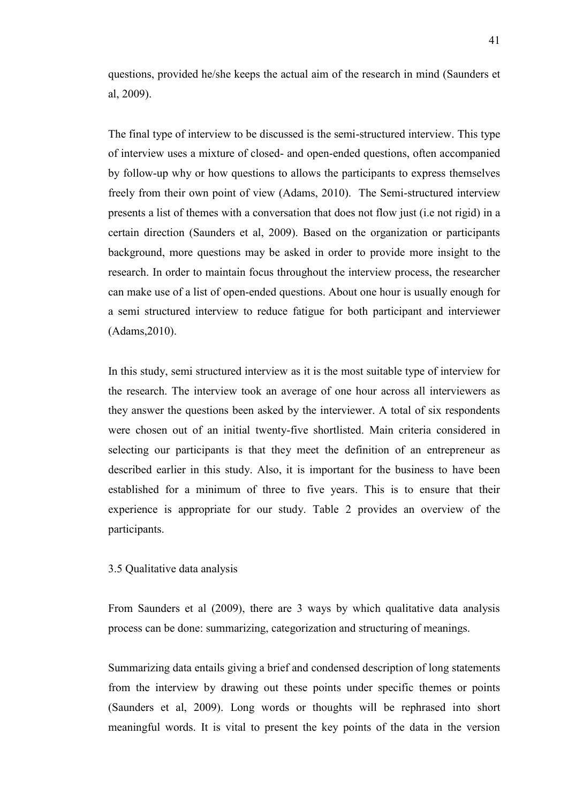questions, provided he/she keeps the actual aim of the research in mind (Saunders et al, 2009).

The final type of interview to be discussed is the semi-structured interview. This type of interview uses a mixture of closed- and open-ended questions, often accompanied by follow-up why or how questions to allows the participants to express themselves freely from their own point of view (Adams, 2010). The Semi-structured interview presents a list of themes with a conversation that does not flow just (i.e not rigid) in a certain direction (Saunders et al, 2009). Based on the organization or participants background, more questions may be asked in order to provide more insight to the research. In order to maintain focus throughout the interview process, the researcher can make use of a list of open-ended questions. About one hour is usually enough for a semi structured interview to reduce fatigue for both participant and interviewer (Adams,2010).

In this study, semi structured interview as it is the most suitable type of interview for the research. The interview took an average of one hour across all interviewers as they answer the questions been asked by the interviewer. A total of six respondents were chosen out of an initial twenty-five shortlisted. Main criteria considered in selecting our participants is that they meet the definition of an entrepreneur as described earlier in this study. Also, it is important for the business to have been established for a minimum of three to five years. This is to ensure that their experience is appropriate for our study. Table 2 provides an overview of the participants.

# 3.5 Qualitative data analysis

From Saunders et al (2009), there are 3 ways by which qualitative data analysis process can be done: summarizing, categorization and structuring of meanings.

Summarizing data entails giving a brief and condensed description of long statements from the interview by drawing out these points under specific themes or points (Saunders et al, 2009). Long words or thoughts will be rephrased into short meaningful words. It is vital to present the key points of the data in the version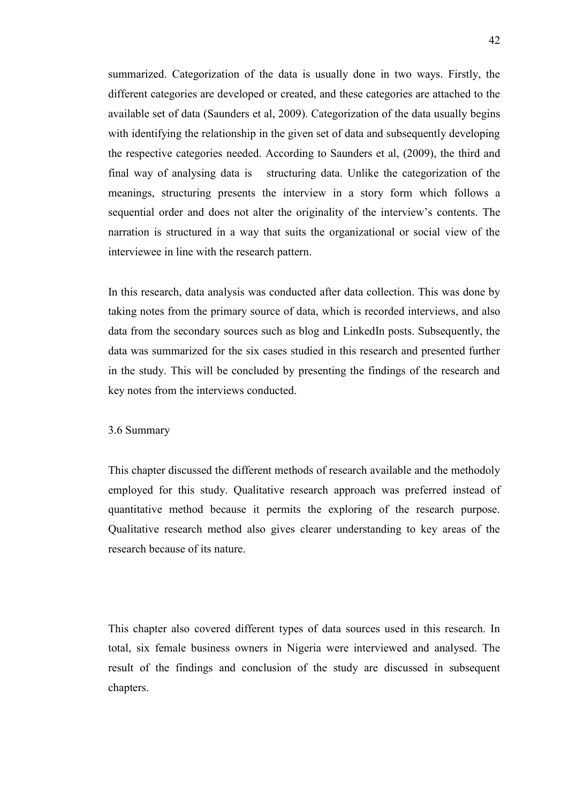summarized. Categorization of the data is usually done in two ways. Firstly, the different categories are developed or created, and these categories are attached to the available set of data (Saunders et al, 2009). Categorization of the data usually begins with identifying the relationship in the given set of data and subsequently developing the respective categories needed. According to Saunders et al, (2009), the third and final way of analysing data is structuring data. Unlike the categorization of the meanings, structuring presents the interview in a story form which follows a sequential order and does not alter the originality of the interview's contents. The narration is structured in a way that suits the organizational or social view of the interviewee in line with the research pattern.

In this research, data analysis was conducted after data collection. This was done by taking notes from the primary source of data, which is recorded interviews, and also data from the secondary sources such as blog and LinkedIn posts. Subsequently, the data was summarized for the six cases studied in this research and presented further in the study. This will be concluded by presenting the findings of the research and key notes from the interviews conducted.

#### 3.6 Summary

This chapter discussed the different methods of research available and the methodoly employed for this study. Qualitative research approach was preferred instead of quantitative method because it permits the exploring of the research purpose. Qualitative research method also gives clearer understanding to key areas of the research because of its nature.

This chapter also covered different types of data sources used in this research. In total, six female business owners in Nigeria were interviewed and analysed. The result of the findings and conclusion of the study are discussed in subsequent chapters.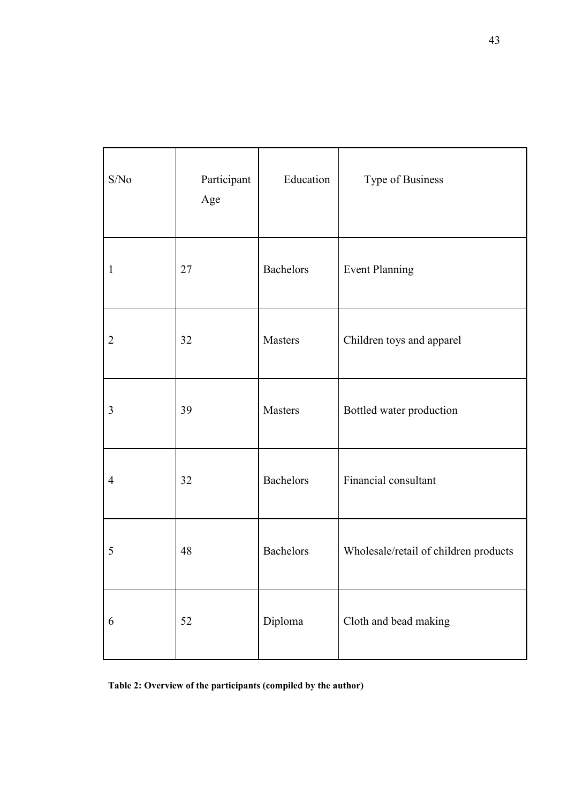| S/No           | Participant<br>Age | Education        | Type of Business                      |
|----------------|--------------------|------------------|---------------------------------------|
| 1              | 27                 | <b>Bachelors</b> | <b>Event Planning</b>                 |
| $\overline{2}$ | 32                 | <b>Masters</b>   | Children toys and apparel             |
| 3              | 39                 | <b>Masters</b>   | Bottled water production              |
| $\overline{4}$ | 32                 | <b>Bachelors</b> | Financial consultant                  |
| 5              | 48                 | <b>Bachelors</b> | Wholesale/retail of children products |
| 6              | 52                 | Diploma          | Cloth and bead making                 |

**Table 2: Overview of the participants (compiled by the author)**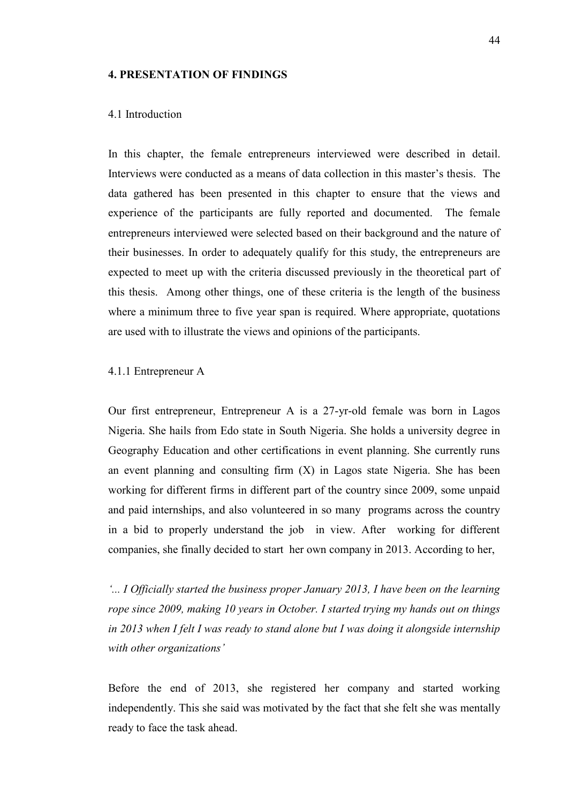### **4. PRESENTATION OF FINDINGS**

# 4.1 Introduction

In this chapter, the female entrepreneurs interviewed were described in detail. Interviews were conducted as a means of data collection in this master's thesis. The data gathered has been presented in this chapter to ensure that the views and experience of the participants are fully reported and documented. The female entrepreneurs interviewed were selected based on their background and the nature of their businesses. In order to adequately qualify for this study, the entrepreneurs are expected to meet up with the criteria discussed previously in the theoretical part of this thesis. Among other things, one of these criteria is the length of the business where a minimum three to five year span is required. Where appropriate, quotations are used with to illustrate the views and opinions of the participants.

## 4.1.1 Entrepreneur A

Our first entrepreneur, Entrepreneur A is a 27-yr-old female was born in Lagos Nigeria. She hails from Edo state in South Nigeria. She holds a university degree in Geography Education and other certifications in event planning. She currently runs an event planning and consulting firm (X) in Lagos state Nigeria. She has been working for different firms in different part of the country since 2009, some unpaid and paid internships, and also volunteered in so many programs across the country in a bid to properly understand the job in view. After working for different companies, she finally decided to start her own company in 2013. According to her,

*'... I Officially started the business proper January 2013, I have been on the learning rope since 2009, making 10 years in October. I started trying my hands out on things in 2013 when I felt I was ready to stand alone but I was doing it alongside internship with other organizations'*

Before the end of 2013, she registered her company and started working independently. This she said was motivated by the fact that she felt she was mentally ready to face the task ahead.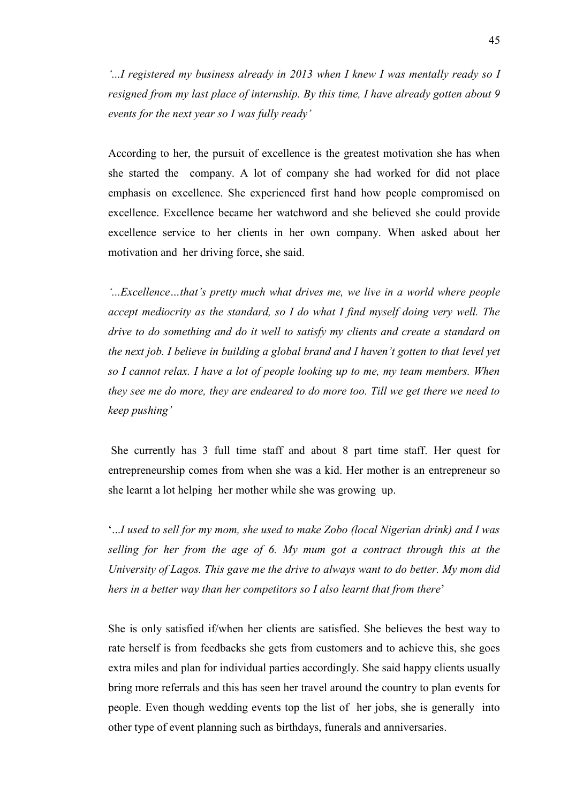*'...I registered my business already in 2013 when I knew I was mentally ready so I resigned from my last place of internship. By this time, I have already gotten about 9 events for the next year so I was fully ready'*

According to her, the pursuit of excellence is the greatest motivation she has when she started the company. A lot of company she had worked for did not place emphasis on excellence. She experienced first hand how people compromised on excellence. Excellence became her watchword and she believed she could provide excellence service to her clients in her own company. When asked about her motivation and her driving force, she said.

*'...Excellence…that's pretty much what drives me, we live in a world where people accept mediocrity as the standard, so I do what I find myself doing very well. The drive to do something and do it well to satisfy my clients and create a standard on the next job. I believe in building a global brand and I haven't gotten to that level yet so I cannot relax. I have a lot of people looking up to me, my team members. When they see me do more, they are endeared to do more too. Till we get there we need to keep pushing'*

She currently has 3 full time staff and about 8 part time staff. Her quest for entrepreneurship comes from when she was a kid. Her mother is an entrepreneur so she learnt a lot helping her mother while she was growing up.

'...*I used to sell for my mom, she used to make Zobo (local Nigerian drink) and I was selling for her from the age of 6. My mum got a contract through this at the University of Lagos. This gave me the drive to always want to do better. My mom did hers in a better way than her competitors so I also learnt that from there*'

She is only satisfied if/when her clients are satisfied. She believes the best way to rate herself is from feedbacks she gets from customers and to achieve this, she goes extra miles and plan for individual parties accordingly. She said happy clients usually bring more referrals and this has seen her travel around the country to plan events for people. Even though wedding events top the list of her jobs, she is generally into other type of event planning such as birthdays, funerals and anniversaries.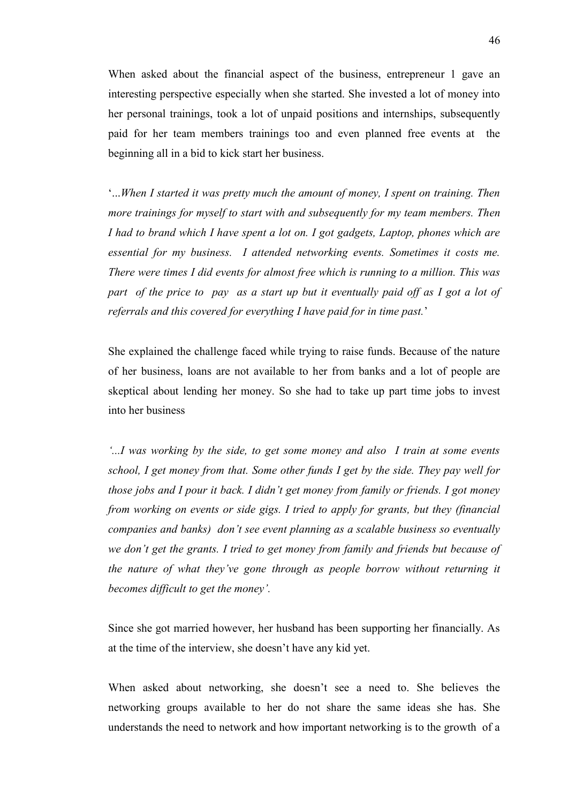When asked about the financial aspect of the business, entrepreneur 1 gave an interesting perspective especially when she started. She invested a lot of money into her personal trainings, took a lot of unpaid positions and internships, subsequently paid for her team members trainings too and even planned free events at the beginning all in a bid to kick start her business.

'...*When I started it was pretty much the amount of money, I spent on training. Then more trainings for myself to start with and subsequently for my team members. Then I had to brand which I have spent a lot on. I got gadgets, Laptop, phones which are essential for my business. I attended networking events. Sometimes it costs me. There were times I did events for almost free which is running to a million. This was part of the price to pay as a start up but it eventually paid off as I got a lot of referrals and this covered for everything I have paid for in time past.*'

She explained the challenge faced while trying to raise funds. Because of the nature of her business, loans are not available to her from banks and a lot of people are skeptical about lending her money. So she had to take up part time jobs to invest into her business

*'...I was working by the side, to get some money and also I train at some events school, I get money from that. Some other funds I get by the side. They pay well for those jobs and I pour it back. I didn't get money from family or friends. I got money from working on events or side gigs. I tried to apply for grants, but they (financial companies and banks) don't see event planning as a scalable business so eventually we don't get the grants. I tried to get money from family and friends but because of the nature of what they've gone through as people borrow without returning it becomes difficult to get the money'.*

Since she got married however, her husband has been supporting her financially. As at the time of the interview, she doesn't have any kid yet.

When asked about networking, she doesn't see a need to. She believes the networking groups available to her do not share the same ideas she has. She understands the need to network and how important networking is to the growth of a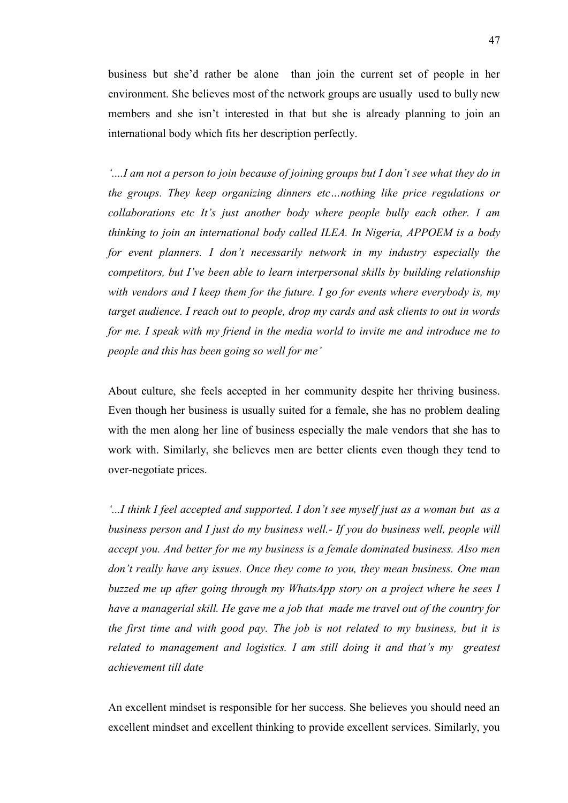business but she'd rather be alone than join the current set of people in her environment. She believes most of the network groups are usually used to bully new members and she isn't interested in that but she is already planning to join an international body which fits her description perfectly.

*'....I am not a person to join because of joining groups but I don't see what they do in the groups. They keep organizing dinners etc…nothing like price regulations or collaborations etc It's just another body where people bully each other. I am thinking to join an international body called ILEA. In Nigeria, APPOEM is a body for event planners. I don't necessarily network in my industry especially the competitors, but I've been able to learn interpersonal skills by building relationship with vendors and I keep them for the future. I go for events where everybody is, my target audience. I reach out to people, drop my cards and ask clients to out in words for me. I speak with my friend in the media world to invite me and introduce me to people and this has been going so well for me'*

About culture, she feels accepted in her community despite her thriving business. Even though her business is usually suited for a female, she has no problem dealing with the men along her line of business especially the male vendors that she has to work with. Similarly, she believes men are better clients even though they tend to over-negotiate prices.

*'...I think I feel accepted and supported. I don't see myself just as a woman but as a business person and I just do my business well.- If you do business well, people will accept you. And better for me my business is a female dominated business. Also men don't really have any issues. Once they come to you, they mean business. One man buzzed me up after going through my WhatsApp story on a project where he sees I have a managerial skill. He gave me a job that made me travel out of the country for the first time and with good pay. The job is not related to my business, but it is related to management and logistics. I am still doing it and that's my greatest achievement till date*

An excellent mindset is responsible for her success. She believes you should need an excellent mindset and excellent thinking to provide excellent services. Similarly, you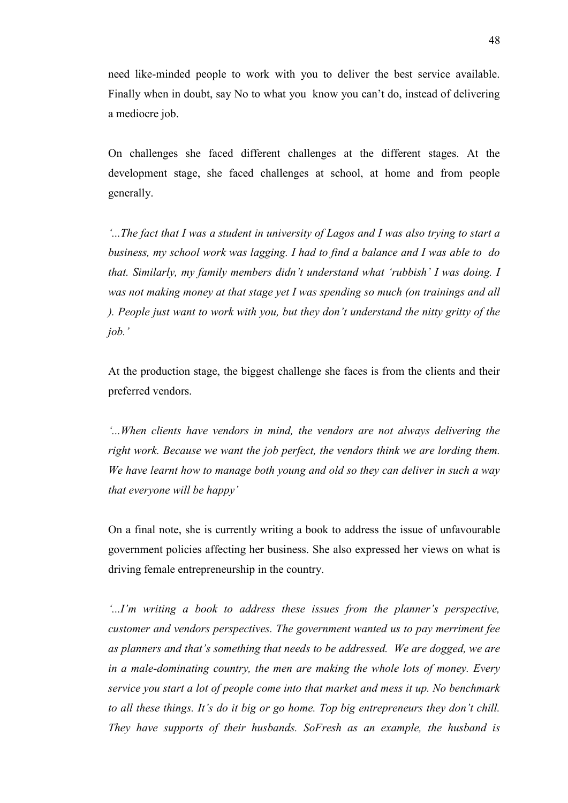need like-minded people to work with you to deliver the best service available. Finally when in doubt, say No to what you know you can't do, instead of delivering a mediocre job.

On challenges she faced different challenges at the different stages. At the development stage, she faced challenges at school, at home and from people generally.

*'...The fact that I was a student in university of Lagos and I was also trying to start a business, my school work was lagging. I had to find a balance and I was able to do that. Similarly, my family members didn't understand what 'rubbish' I was doing. I was not making money at that stage yet I was spending so much (on trainings and all ). People just want to work with you, but they don't understand the nitty gritty of the job.'*

At the production stage, the biggest challenge she faces is from the clients and their preferred vendors.

*'...When clients have vendors in mind, the vendors are not always delivering the right work. Because we want the job perfect, the vendors think we are lording them. We have learnt how to manage both young and old so they can deliver in such a way that everyone will be happy'*

On a final note, she is currently writing a book to address the issue of unfavourable government policies affecting her business. She also expressed her views on what is driving female entrepreneurship in the country.

*'...I'm writing a book to address these issues from the planner's perspective, customer and vendors perspectives. The government wanted us to pay merriment fee as planners and that's something that needs to be addressed. We are dogged, we are in a male-dominating country, the men are making the whole lots of money. Every service you start a lot of people come into that market and mess it up. No benchmark to all these things. It's do it big or go home. Top big entrepreneurs they don't chill. They have supports of their husbands. SoFresh as an example, the husband is*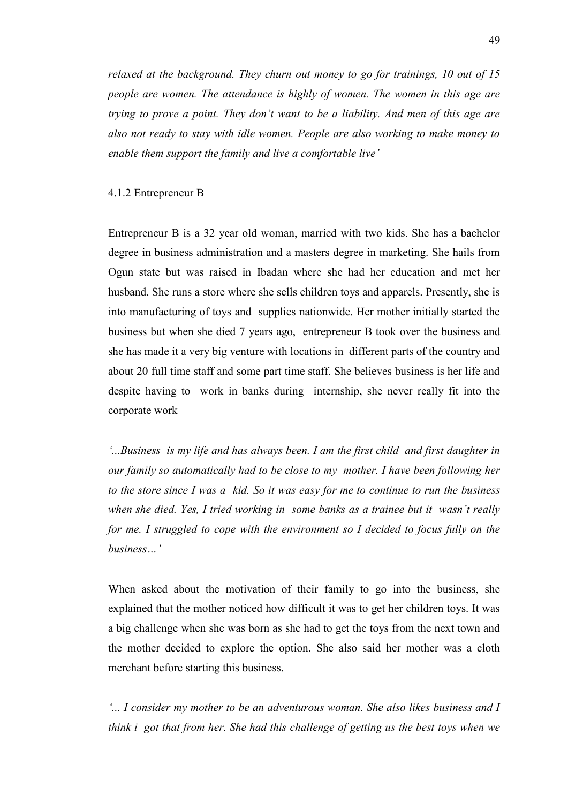*relaxed at the background. They churn out money to go for trainings, 10 out of 15 people are women. The attendance is highly of women. The women in this age are trying to prove a point. They don't want to be a liability. And men of this age are also not ready to stay with idle women. People are also working to make money to enable them support the family and live a comfortable live'*

### 4.1.2 Entrepreneur B

Entrepreneur B is a 32 year old woman, married with two kids. She has a bachelor degree in business administration and a masters degree in marketing. She hails from Ogun state but was raised in Ibadan where she had her education and met her husband. She runs a store where she sells children toys and apparels. Presently, she is into manufacturing of toys and supplies nationwide. Her mother initially started the business but when she died 7 years ago, entrepreneur B took over the business and she has made it a very big venture with locations in different parts of the country and about 20 full time staff and some part time staff. She believes business is her life and despite having to work in banks during internship, she never really fit into the corporate work

*'...Business is my life and has always been. I am the first child and first daughter in our family so automatically had to be close to my mother. I have been following her to the store since I was a kid. So it was easy for me to continue to run the business when she died. Yes, I tried working in some banks as a trainee but it wasn't really for me. I struggled to cope with the environment so I decided to focus fully on the business…'*

When asked about the motivation of their family to go into the business, she explained that the mother noticed how difficult it was to get her children toys. It was a big challenge when she was born as she had to get the toys from the next town and the mother decided to explore the option. She also said her mother was a cloth merchant before starting this business.

*'... I consider my mother to be an adventurous woman. She also likes business and I think i got that from her. She had this challenge of getting us the best toys when we*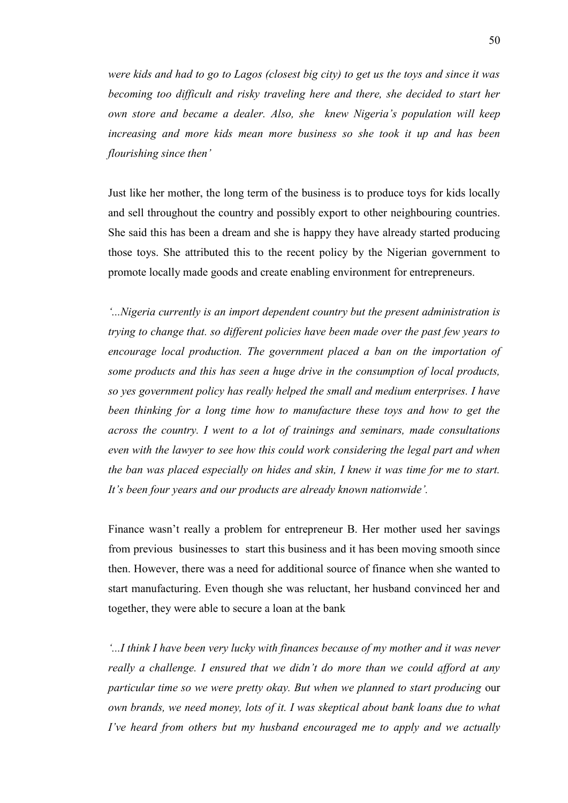*were kids and had to go to Lagos (closest big city) to get us the toys and since it was becoming too difficult and risky traveling here and there, she decided to start her own store and became a dealer. Also, she knew Nigeria's population will keep increasing and more kids mean more business so she took it up and has been flourishing since then'*

Just like her mother, the long term of the business is to produce toys for kids locally and sell throughout the country and possibly export to other neighbouring countries. She said this has been a dream and she is happy they have already started producing those toys. She attributed this to the recent policy by the Nigerian government to promote locally made goods and create enabling environment for entrepreneurs.

*'...Nigeria currently is an import dependent country but the present administration is trying to change that. so different policies have been made over the past few years to encourage local production. The government placed a ban on the importation of some products and this has seen a huge drive in the consumption of local products, so yes government policy has really helped the small and medium enterprises. I have been thinking for a long time how to manufacture these toys and how to get the across the country. I went to a lot of trainings and seminars, made consultations even with the lawyer to see how this could work considering the legal part and when the ban was placed especially on hides and skin, I knew it was time for me to start. It's been four years and our products are already known nationwide'.*

Finance wasn't really a problem for entrepreneur B. Her mother used her savings from previous businesses to start this business and it has been moving smooth since then. However, there was a need for additional source of finance when she wanted to start manufacturing. Even though she was reluctant, her husband convinced her and together, they were able to secure a loan at the bank

*'...I think I have been very lucky with finances because of my mother and it was never really a challenge. I ensured that we didn't do more than we could afford at any particular time so we were pretty okay. But when we planned to start producing* our *own brands, we need money, lots of it. I was skeptical about bank loans due to what I've heard from others but my husband encouraged me to apply and we actually*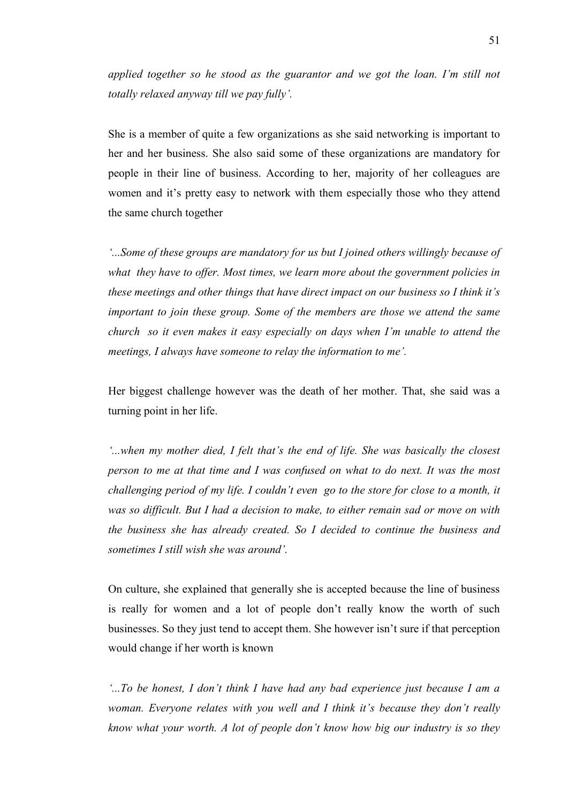*applied together so he stood as the guarantor and we got the loan. I'm still not totally relaxed anyway till we pay fully'.*

She is a member of quite a few organizations as she said networking is important to her and her business. She also said some of these organizations are mandatory for people in their line of business. According to her, majority of her colleagues are women and it's pretty easy to network with them especially those who they attend the same church together

*'...Some of these groups are mandatory for us but I joined others willingly because of what they have to offer. Most times, we learn more about the government policies in these meetings and other things that have direct impact on our business so I think it's important to join these group. Some of the members are those we attend the same church so it even makes it easy especially on days when I'm unable to attend the meetings, I always have someone to relay the information to me'.*

Her biggest challenge however was the death of her mother. That, she said was a turning point in her life.

*'...when my mother died, I felt that's the end of life. She was basically the closest person to me at that time and I was confused on what to do next. It was the most challenging period of my life. I couldn't even go to the store for close to a month, it was so difficult. But I had a decision to make, to either remain sad or move on with the business she has already created. So I decided to continue the business and sometimes I still wish she was around'.*

On culture, she explained that generally she is accepted because the line of business is really for women and a lot of people don't really know the worth of such businesses. So they just tend to accept them. She however isn't sure if that perception would change if her worth is known

*'...To be honest, I don't think I have had any bad experience just because I am a woman. Everyone relates with you well and I think it's because they don't really know what your worth. A lot of people don't know how big our industry is so they*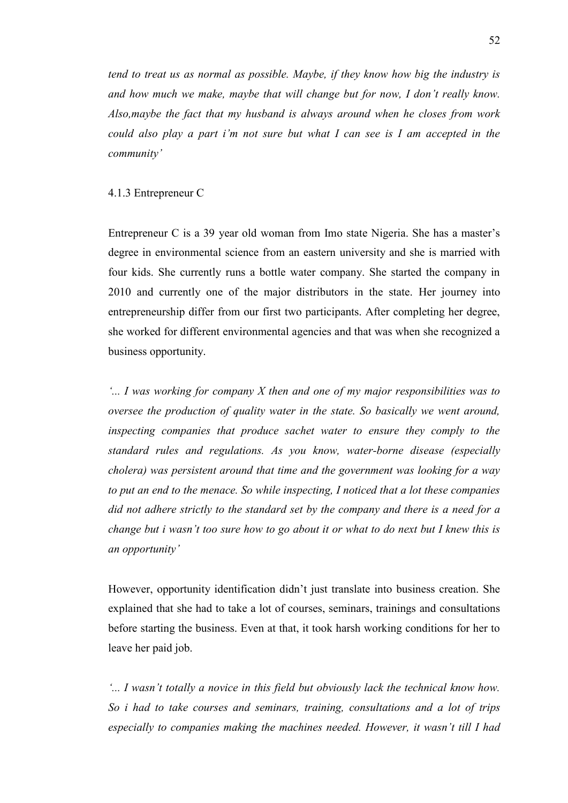*tend to treat us as normal as possible. Maybe, if they know how big the industry is and how much we make, maybe that will change but for now, I don't really know. Also,maybe the fact that my husband is always around when he closes from work could also play a part i'm not sure but what I can see is I am accepted in the community'*

## 4.1.3 Entrepreneur C

Entrepreneur C is a 39 year old woman from Imo state Nigeria. She has a master's degree in environmental science from an eastern university and she is married with four kids. She currently runs a bottle water company. She started the company in 2010 and currently one of the major distributors in the state. Her journey into entrepreneurship differ from our first two participants. After completing her degree, she worked for different environmental agencies and that was when she recognized a business opportunity.

*'... I was working for company X then and one of my major responsibilities was to oversee the production of quality water in the state. So basically we went around, inspecting companies that produce sachet water to ensure they comply to the standard rules and regulations. As you know, water-borne disease (especially cholera) was persistent around that time and the government was looking for a way to put an end to the menace. So while inspecting, I noticed that a lot these companies did not adhere strictly to the standard set by the company and there is a need for a change but i wasn't too sure how to go about it or what to do next but I knew this is an opportunity'*

However, opportunity identification didn't just translate into business creation. She explained that she had to take a lot of courses, seminars, trainings and consultations before starting the business. Even at that, it took harsh working conditions for her to leave her paid job.

*'... I wasn't totally a novice in this field but obviously lack the technical know how. So i had to take courses and seminars, training, consultations and a lot of trips especially to companies making the machines needed. However, it wasn't till I had*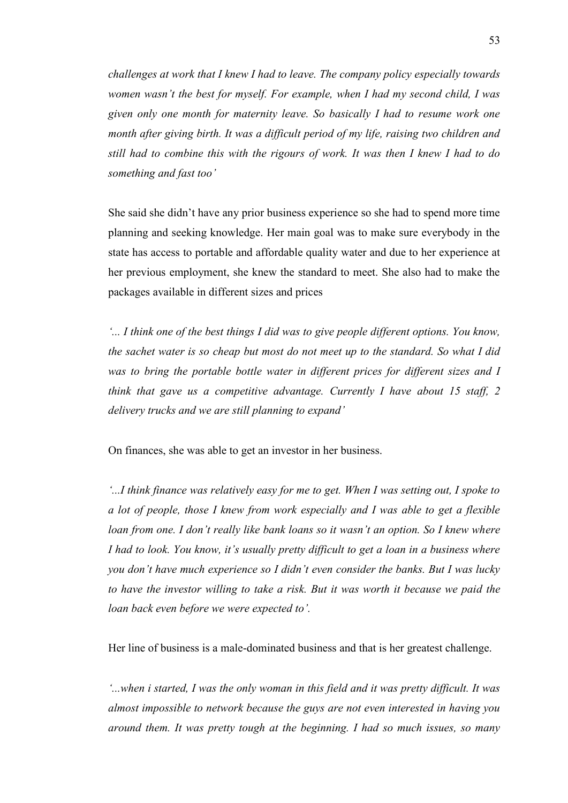*challenges at work that I knew I had to leave. The company policy especially towards women wasn't the best for myself. For example, when I had my second child, I was given only one month for maternity leave. So basically I had to resume work one month after giving birth. It was a difficult period of my life, raising two children and still had to combine this with the rigours of work. It was then I knew I had to do something and fast too'*

She said she didn't have any prior business experience so she had to spend more time planning and seeking knowledge. Her main goal was to make sure everybody in the state has access to portable and affordable quality water and due to her experience at her previous employment, she knew the standard to meet. She also had to make the packages available in different sizes and prices

*'... I think one of the best things I did was to give people different options. You know, the sachet water is so cheap but most do not meet up to the standard. So what I did*  was to bring the portable bottle water in different prices for different sizes and I *think that gave us a competitive advantage. Currently I have about 15 staff, 2 delivery trucks and we are still planning to expand'*

On finances, she was able to get an investor in her business.

*'...I think finance was relatively easy for me to get. When I was setting out, I spoke to a lot of people, those I knew from work especially and I was able to get a flexible loan from one. I don't really like bank loans so it wasn't an option. So I knew where I had to look. You know, it's usually pretty difficult to get a loan in a business where you don't have much experience so I didn't even consider the banks. But I was lucky*  to have the investor willing to take a risk. But it was worth it because we paid the *loan back even before we were expected to'.*

Her line of business is a male-dominated business and that is her greatest challenge.

*'...when i started, I was the only woman in this field and it was pretty difficult. It was almost impossible to network because the guys are not even interested in having you around them. It was pretty tough at the beginning. I had so much issues, so many*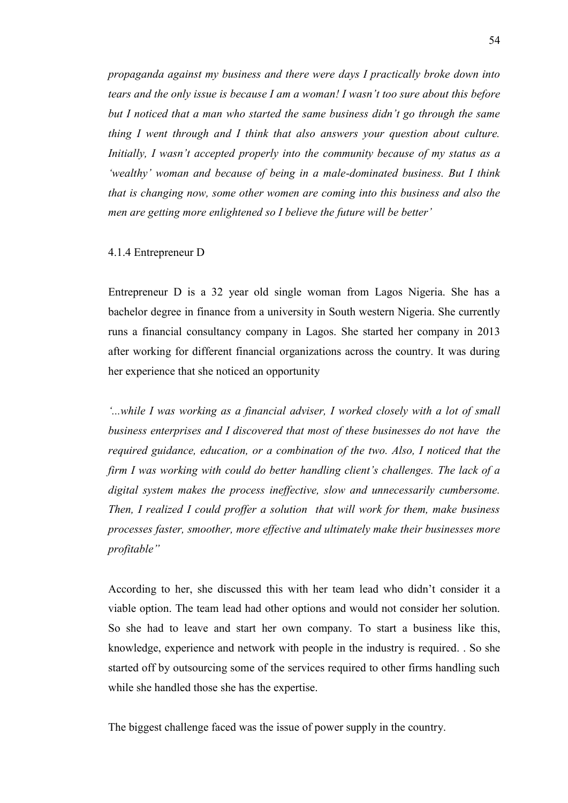*propaganda against my business and there were days I practically broke down into tears and the only issue is because I am a woman! I wasn't too sure about this before but I noticed that a man who started the same business didn't go through the same thing I went through and I think that also answers your question about culture. Initially, I wasn't accepted properly into the community because of my status as a 'wealthy' woman and because of being in a male-dominated business. But I think that is changing now, some other women are coming into this business and also the men are getting more enlightened so I believe the future will be better'*

## 4.1.4 Entrepreneur D

Entrepreneur D is a 32 year old single woman from Lagos Nigeria. She has a bachelor degree in finance from a university in South western Nigeria. She currently runs a financial consultancy company in Lagos. She started her company in 2013 after working for different financial organizations across the country. It was during her experience that she noticed an opportunity

*'...while I was working as a financial adviser, I worked closely with a lot of small business enterprises and I discovered that most of these businesses do not have the required guidance, education, or a combination of the two. Also, I noticed that the firm I was working with could do better handling client's challenges. The lack of a digital system makes the process ineffective, slow and unnecessarily cumbersome. Then, I realized I could proffer a solution that will work for them, make business processes faster, smoother, more effective and ultimately make their businesses more profitable"*

According to her, she discussed this with her team lead who didn't consider it a viable option. The team lead had other options and would not consider her solution. So she had to leave and start her own company. To start a business like this, knowledge, experience and network with people in the industry is required. . So she started off by outsourcing some of the services required to other firms handling such while she handled those she has the expertise.

The biggest challenge faced was the issue of power supply in the country.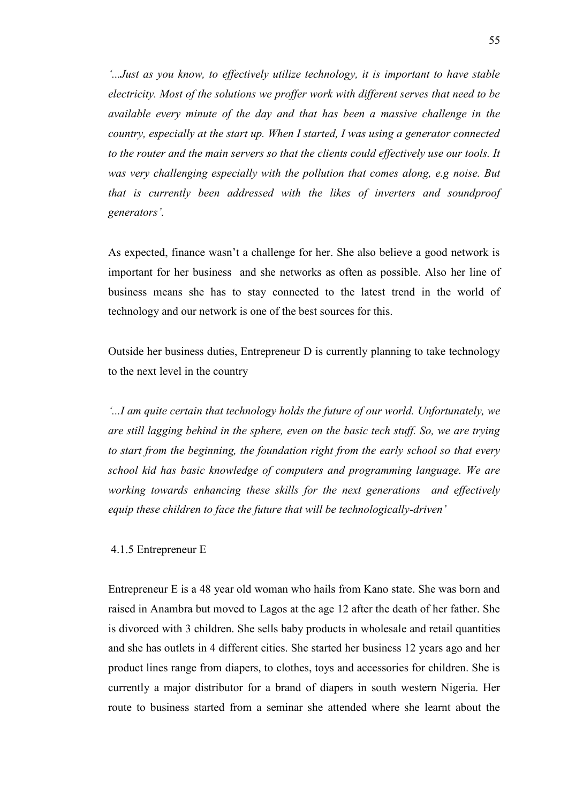*'...Just as you know, to effectively utilize technology, it is important to have stable electricity. Most of the solutions we proffer work with different serves that need to be available every minute of the day and that has been a massive challenge in the country, especially at the start up. When I started, I was using a generator connected to the router and the main servers so that the clients could effectively use our tools. It was very challenging especially with the pollution that comes along, e.g noise. But that is currently been addressed with the likes of inverters and soundproof generators'.*

As expected, finance wasn't a challenge for her. She also believe a good network is important for her business and she networks as often as possible. Also her line of business means she has to stay connected to the latest trend in the world of technology and our network is one of the best sources for this.

Outside her business duties, Entrepreneur D is currently planning to take technology to the next level in the country

*'...I am quite certain that technology holds the future of our world. Unfortunately, we are still lagging behind in the sphere, even on the basic tech stuff. So, we are trying to start from the beginning, the foundation right from the early school so that every school kid has basic knowledge of computers and programming language. We are working towards enhancing these skills for the next generations and effectively equip these children to face the future that will be technologically-driven'*

4.1.5 Entrepreneur E

Entrepreneur E is a 48 year old woman who hails from Kano state. She was born and raised in Anambra but moved to Lagos at the age 12 after the death of her father. She is divorced with 3 children. She sells baby products in wholesale and retail quantities and she has outlets in 4 different cities. She started her business 12 years ago and her product lines range from diapers, to clothes, toys and accessories for children. She is currently a major distributor for a brand of diapers in south western Nigeria. Her route to business started from a seminar she attended where she learnt about the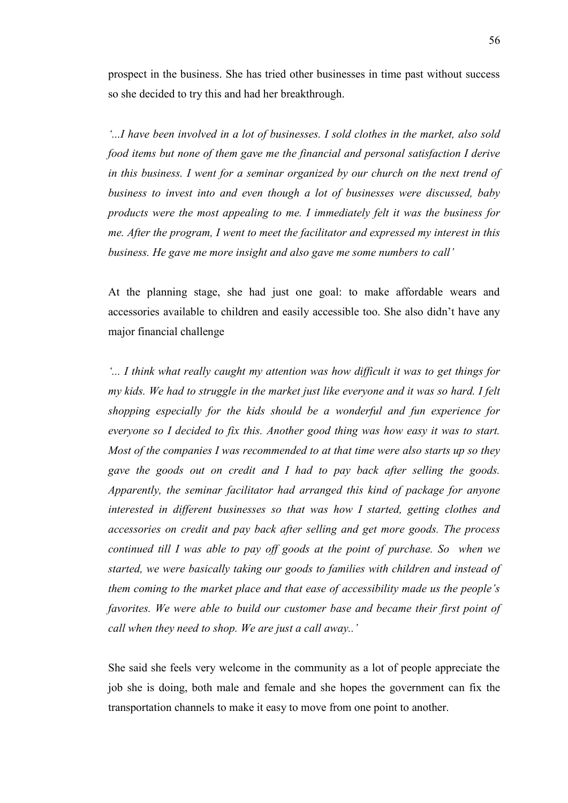prospect in the business. She has tried other businesses in time past without success so she decided to try this and had her breakthrough.

*'...I have been involved in a lot of businesses. I sold clothes in the market, also sold food items but none of them gave me the financial and personal satisfaction I derive in this business. I went for a seminar organized by our church on the next trend of business to invest into and even though a lot of businesses were discussed, baby products were the most appealing to me. I immediately felt it was the business for me. After the program, I went to meet the facilitator and expressed my interest in this business. He gave me more insight and also gave me some numbers to call'*

At the planning stage, she had just one goal: to make affordable wears and accessories available to children and easily accessible too. She also didn't have any major financial challenge

*'... I think what really caught my attention was how difficult it was to get things for my kids. We had to struggle in the market just like everyone and it was so hard. I felt shopping especially for the kids should be a wonderful and fun experience for everyone so I decided to fix this. Another good thing was how easy it was to start. Most of the companies I was recommended to at that time were also starts up so they gave the goods out on credit and I had to pay back after selling the goods. Apparently, the seminar facilitator had arranged this kind of package for anyone interested in different businesses so that was how I started, getting clothes and accessories on credit and pay back after selling and get more goods. The process continued till I was able to pay off goods at the point of purchase. So when we started, we were basically taking our goods to families with children and instead of them coming to the market place and that ease of accessibility made us the people's favorites. We were able to build our customer base and became their first point of call when they need to shop. We are just a call away..'*

She said she feels very welcome in the community as a lot of people appreciate the job she is doing, both male and female and she hopes the government can fix the transportation channels to make it easy to move from one point to another.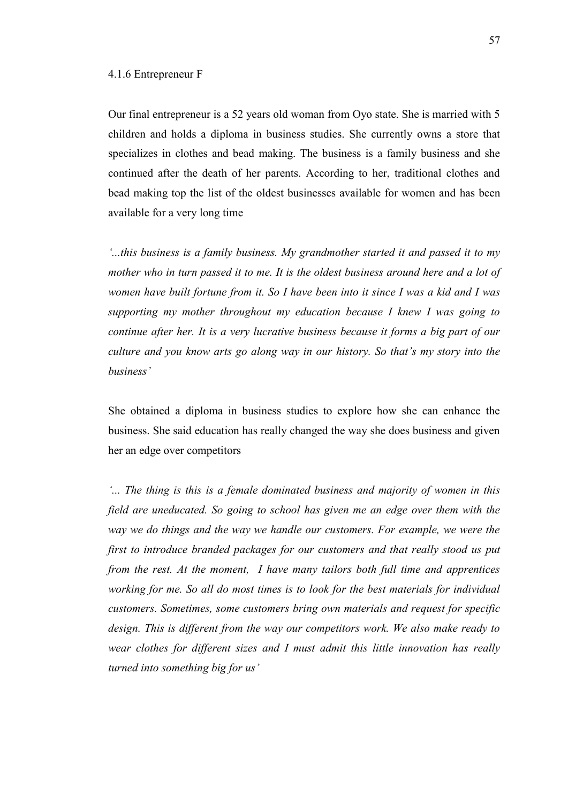### 4.1.6 Entrepreneur F

Our final entrepreneur is a 52 years old woman from Oyo state. She is married with 5 children and holds a diploma in business studies. She currently owns a store that specializes in clothes and bead making. The business is a family business and she continued after the death of her parents. According to her, traditional clothes and bead making top the list of the oldest businesses available for women and has been available for a very long time

*'...this business is a family business. My grandmother started it and passed it to my mother who in turn passed it to me. It is the oldest business around here and a lot of women have built fortune from it. So I have been into it since I was a kid and I was supporting my mother throughout my education because I knew I was going to continue after her. It is a very lucrative business because it forms a big part of our culture and you know arts go along way in our history. So that's my story into the business'*

She obtained a diploma in business studies to explore how she can enhance the business. She said education has really changed the way she does business and given her an edge over competitors

*'... The thing is this is a female dominated business and majority of women in this field are uneducated. So going to school has given me an edge over them with the way we do things and the way we handle our customers. For example, we were the first to introduce branded packages for our customers and that really stood us put from the rest. At the moment, I have many tailors both full time and apprentices working for me. So all do most times is to look for the best materials for individual customers. Sometimes, some customers bring own materials and request for specific design. This is different from the way our competitors work. We also make ready to wear clothes for different sizes and I must admit this little innovation has really turned into something big for us'*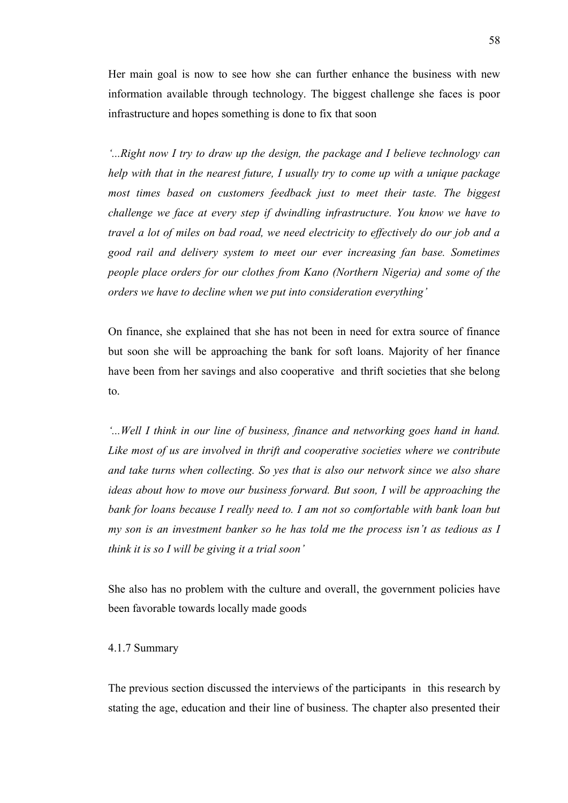Her main goal is now to see how she can further enhance the business with new information available through technology. The biggest challenge she faces is poor infrastructure and hopes something is done to fix that soon

*'...Right now I try to draw up the design, the package and I believe technology can help with that in the nearest future, I usually try to come up with a unique package*  most times based on customers feedback just to meet their taste. The biggest *challenge we face at every step if dwindling infrastructure. You know we have to travel a lot of miles on bad road, we need electricity to effectively do our job and a good rail and delivery system to meet our ever increasing fan base. Sometimes people place orders for our clothes from Kano (Northern Nigeria) and some of the orders we have to decline when we put into consideration everything'*

On finance, she explained that she has not been in need for extra source of finance but soon she will be approaching the bank for soft loans. Majority of her finance have been from her savings and also cooperative and thrift societies that she belong to.

*'...Well I think in our line of business, finance and networking goes hand in hand.*  Like most of us are involved in thrift and cooperative societies where we contribute *and take turns when collecting. So yes that is also our network since we also share ideas about how to move our business forward. But soon, I will be approaching the bank for loans because I really need to. I am not so comfortable with bank loan but my son is an investment banker so he has told me the process isn't as tedious as I think it is so I will be giving it a trial soon'*

She also has no problem with the culture and overall, the government policies have been favorable towards locally made goods

# 4.1.7 Summary

The previous section discussed the interviews of the participants in this research by stating the age, education and their line of business. The chapter also presented their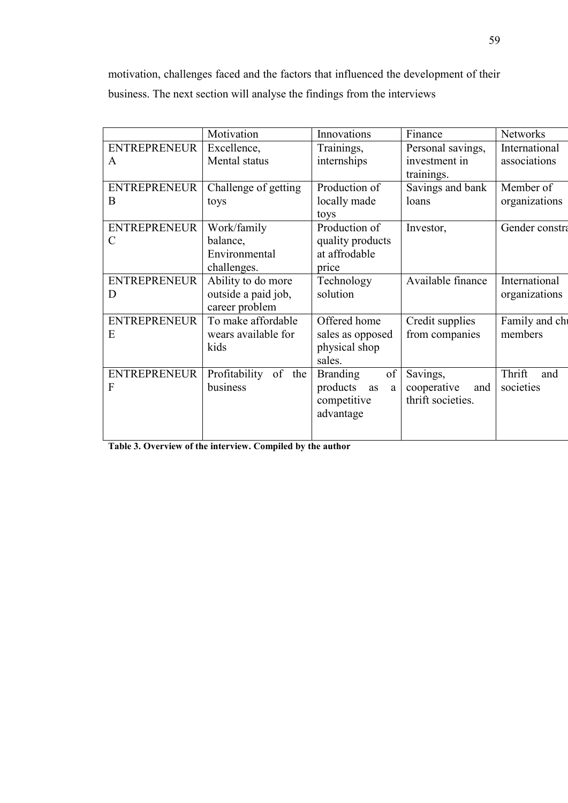motivation, challenges faced and the factors that influenced the development of their business. The next section will analyse the findings from the interviews

|                     | Motivation                 | Innovations           | Finance            | <b>Networks</b> |
|---------------------|----------------------------|-----------------------|--------------------|-----------------|
| <b>ENTREPRENEUR</b> | Excellence,                | Trainings,            | Personal savings,  | International   |
| $\mathbf{A}$        | Mental status              | internships           | investment in      | associations    |
|                     |                            |                       | trainings.         |                 |
| <b>ENTREPRENEUR</b> | Challenge of getting       | Production of         | Savings and bank   | Member of       |
| B                   | toys                       | locally made          | loans              | organizations   |
|                     |                            | toys                  |                    |                 |
| <b>ENTREPRENEUR</b> | Work/family                | Production of         | Investor,          | Gender constra  |
| $\mathcal{C}$       | balance,                   | quality products      |                    |                 |
|                     | Environmental              | at affrodable         |                    |                 |
|                     | challenges.                | price                 |                    |                 |
| <b>ENTREPRENEUR</b> | Ability to do more         | Technology            | Available finance  | International   |
| D                   | outside a paid job,        | solution              |                    | organizations   |
|                     | career problem             |                       |                    |                 |
| <b>ENTREPRENEUR</b> | To make affordable         |                       | Credit supplies    | Family and chi  |
| E                   | wears available for        | sales as opposed      | from companies     | members         |
|                     | kids                       | physical shop         |                    |                 |
|                     |                            | sales.                |                    |                 |
| <b>ENTREPRENEUR</b> | Profitability<br>of<br>the | of<br><b>Branding</b> | Savings,           | Thrift<br>and   |
| F                   | business                   | products<br>as<br>a   | cooperative<br>and | societies       |
|                     |                            | competitive           | thrift societies.  |                 |
|                     |                            | advantage             |                    |                 |
|                     |                            |                       |                    |                 |
|                     |                            |                       |                    |                 |

**Table 3. Overview of the interview. Compiled by the author**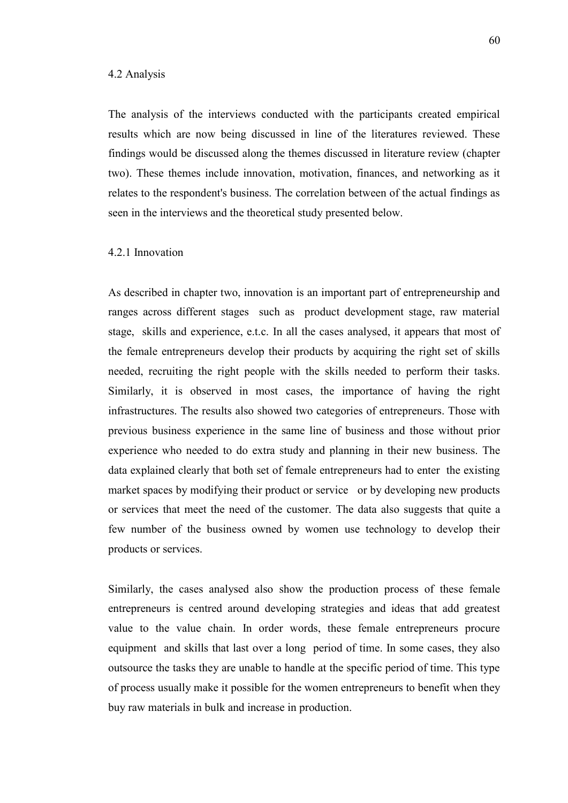### 4.2 Analysis

The analysis of the interviews conducted with the participants created empirical results which are now being discussed in line of the literatures reviewed. These findings would be discussed along the themes discussed in literature review (chapter two). These themes include innovation, motivation, finances, and networking as it relates to the respondent's business. The correlation between of the actual findings as seen in the interviews and the theoretical study presented below.

# 4.2.1 Innovation

As described in chapter two, innovation is an important part of entrepreneurship and ranges across different stages such as product development stage, raw material stage, skills and experience, e.t.c. In all the cases analysed, it appears that most of the female entrepreneurs develop their products by acquiring the right set of skills needed, recruiting the right people with the skills needed to perform their tasks. Similarly, it is observed in most cases, the importance of having the right infrastructures. The results also showed two categories of entrepreneurs. Those with previous business experience in the same line of business and those without prior experience who needed to do extra study and planning in their new business. The data explained clearly that both set of female entrepreneurs had to enter the existing market spaces by modifying their product or service or by developing new products or services that meet the need of the customer. The data also suggests that quite a few number of the business owned by women use technology to develop their products or services.

Similarly, the cases analysed also show the production process of these female entrepreneurs is centred around developing strategies and ideas that add greatest value to the value chain. In order words, these female entrepreneurs procure equipment and skills that last over a long period of time. In some cases, they also outsource the tasks they are unable to handle at the specific period of time. This type of process usually make it possible for the women entrepreneurs to benefit when they buy raw materials in bulk and increase in production.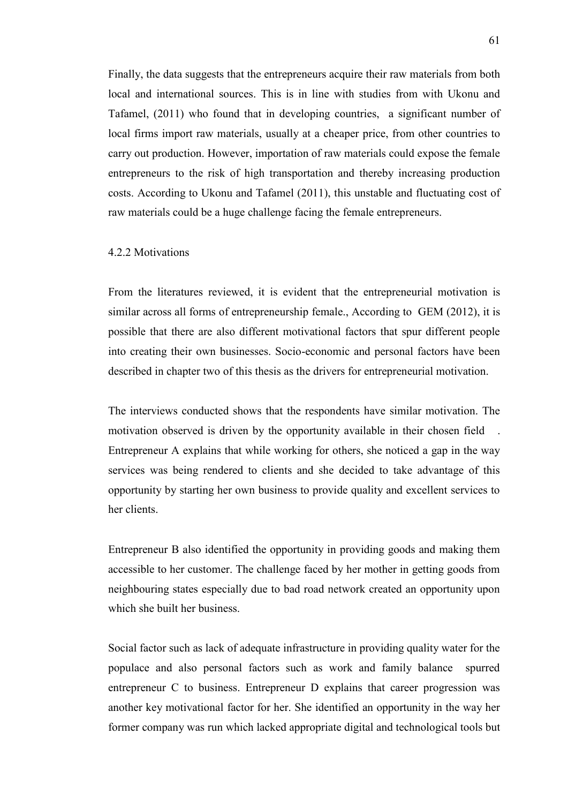Finally, the data suggests that the entrepreneurs acquire their raw materials from both local and international sources. This is in line with studies from with Ukonu and Tafamel, (2011) who found that in developing countries, a significant number of local firms import raw materials, usually at a cheaper price, from other countries to carry out production. However, importation of raw materials could expose the female entrepreneurs to the risk of high transportation and thereby increasing production costs. According to Ukonu and Tafamel (2011), this unstable and fluctuating cost of raw materials could be a huge challenge facing the female entrepreneurs.

### 4.2.2 Motivations

From the literatures reviewed, it is evident that the entrepreneurial motivation is similar across all forms of entrepreneurship female., According to GEM (2012), it is possible that there are also different motivational factors that spur different people into creating their own businesses. Socio-economic and personal factors have been described in chapter two of this thesis as the drivers for entrepreneurial motivation.

The interviews conducted shows that the respondents have similar motivation. The motivation observed is driven by the opportunity available in their chosen field Entrepreneur A explains that while working for others, she noticed a gap in the way services was being rendered to clients and she decided to take advantage of this opportunity by starting her own business to provide quality and excellent services to her clients.

Entrepreneur B also identified the opportunity in providing goods and making them accessible to her customer. The challenge faced by her mother in getting goods from neighbouring states especially due to bad road network created an opportunity upon which she built her business.

Social factor such as lack of adequate infrastructure in providing quality water for the populace and also personal factors such as work and family balance spurred entrepreneur C to business. Entrepreneur D explains that career progression was another key motivational factor for her. She identified an opportunity in the way her former company was run which lacked appropriate digital and technological tools but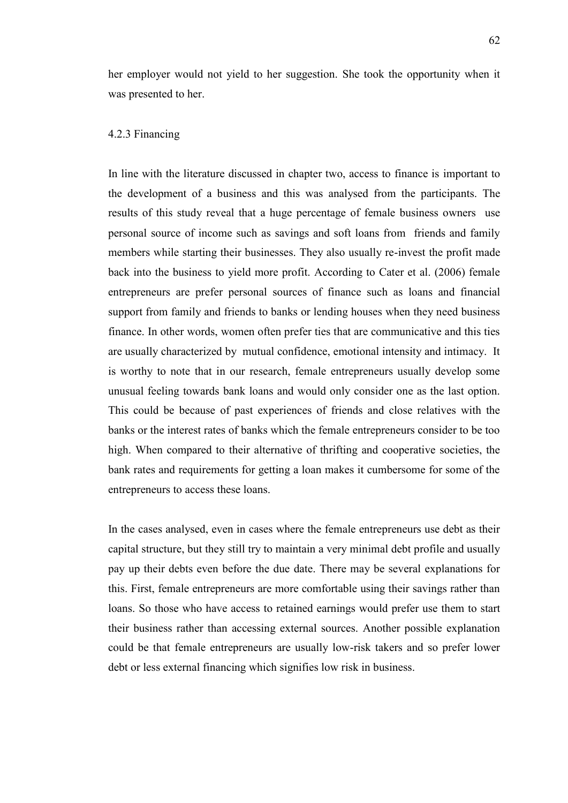her employer would not yield to her suggestion. She took the opportunity when it was presented to her.

# 4.2.3 Financing

In line with the literature discussed in chapter two, access to finance is important to the development of a business and this was analysed from the participants. The results of this study reveal that a huge percentage of female business owners use personal source of income such as savings and soft loans from friends and family members while starting their businesses. They also usually re-invest the profit made back into the business to yield more profit. According to Cater et al. (2006) female entrepreneurs are prefer personal sources of finance such as loans and financial support from family and friends to banks or lending houses when they need business finance. In other words, women often prefer ties that are communicative and this ties are usually characterized by mutual confidence, emotional intensity and intimacy. It is worthy to note that in our research, female entrepreneurs usually develop some unusual feeling towards bank loans and would only consider one as the last option. This could be because of past experiences of friends and close relatives with the banks or the interest rates of banks which the female entrepreneurs consider to be too high. When compared to their alternative of thrifting and cooperative societies, the bank rates and requirements for getting a loan makes it cumbersome for some of the entrepreneurs to access these loans.

In the cases analysed, even in cases where the female entrepreneurs use debt as their capital structure, but they still try to maintain a very minimal debt profile and usually pay up their debts even before the due date. There may be several explanations for this. First, female entrepreneurs are more comfortable using their savings rather than loans. So those who have access to retained earnings would prefer use them to start their business rather than accessing external sources. Another possible explanation could be that female entrepreneurs are usually low-risk takers and so prefer lower debt or less external financing which signifies low risk in business.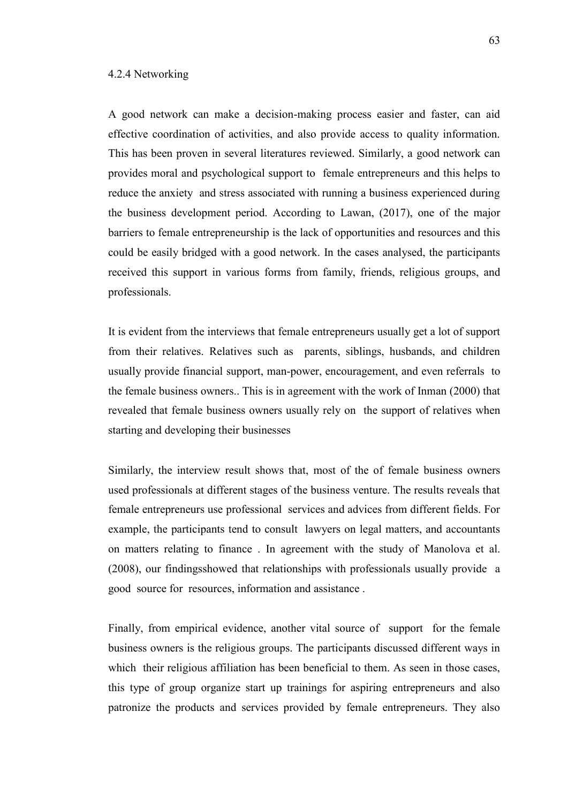# 4.2.4 Networking

A good network can make a decision-making process easier and faster, can aid effective coordination of activities, and also provide access to quality information. This has been proven in several literatures reviewed. Similarly, a good network can provides moral and psychological support to female entrepreneurs and this helps to reduce the anxiety and stress associated with running a business experienced during the business development period. According to Lawan, (2017), one of the major barriers to female entrepreneurship is the lack of opportunities and resources and this could be easily bridged with a good network. In the cases analysed, the participants received this support in various forms from family, friends, religious groups, and professionals.

It is evident from the interviews that female entrepreneurs usually get a lot of support from their relatives. Relatives such as parents, siblings, husbands, and children usually provide financial support, man-power, encouragement, and even referrals to the female business owners.. This is in agreement with the work of Inman (2000) that revealed that female business owners usually rely on the support of relatives when starting and developing their businesses

Similarly, the interview result shows that, most of the of female business owners used professionals at different stages of the business venture. The results reveals that female entrepreneurs use professional services and advices from different fields. For example, the participants tend to consult lawyers on legal matters, and accountants on matters relating to finance . In agreement with the study of Manolova et al. (2008), our findingsshowed that relationships with professionals usually provide a good source for resources, information and assistance .

Finally, from empirical evidence, another vital source of support for the female business owners is the religious groups. The participants discussed different ways in which their religious affiliation has been beneficial to them. As seen in those cases, this type of group organize start up trainings for aspiring entrepreneurs and also patronize the products and services provided by female entrepreneurs. They also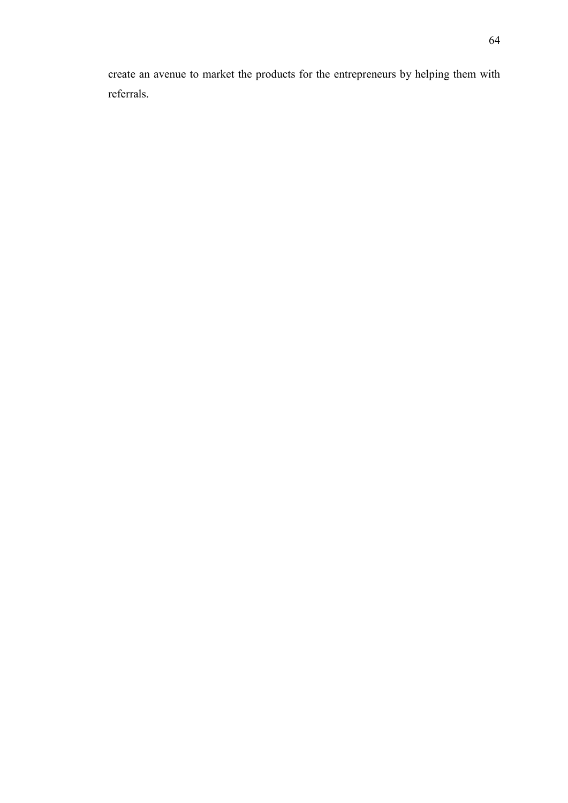create an avenue to market the products for the entrepreneurs by helping them with referrals.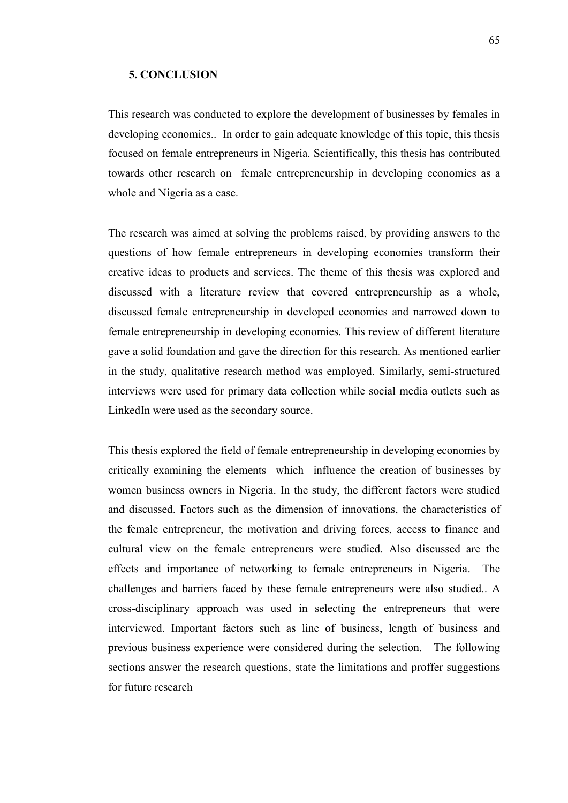### **5. CONCLUSION**

This research was conducted to explore the development of businesses by females in developing economies.. In order to gain adequate knowledge of this topic, this thesis focused on female entrepreneurs in Nigeria. Scientifically, this thesis has contributed towards other research on female entrepreneurship in developing economies as a whole and Nigeria as a case.

The research was aimed at solving the problems raised, by providing answers to the questions of how female entrepreneurs in developing economies transform their creative ideas to products and services. The theme of this thesis was explored and discussed with a literature review that covered entrepreneurship as a whole, discussed female entrepreneurship in developed economies and narrowed down to female entrepreneurship in developing economies. This review of different literature gave a solid foundation and gave the direction for this research. As mentioned earlier in the study, qualitative research method was employed. Similarly, semi-structured interviews were used for primary data collection while social media outlets such as LinkedIn were used as the secondary source.

This thesis explored the field of female entrepreneurship in developing economies by critically examining the elements which influence the creation of businesses by women business owners in Nigeria. In the study, the different factors were studied and discussed. Factors such as the dimension of innovations, the characteristics of the female entrepreneur, the motivation and driving forces, access to finance and cultural view on the female entrepreneurs were studied. Also discussed are the effects and importance of networking to female entrepreneurs in Nigeria. The challenges and barriers faced by these female entrepreneurs were also studied.. A cross-disciplinary approach was used in selecting the entrepreneurs that were interviewed. Important factors such as line of business, length of business and previous business experience were considered during the selection. The following sections answer the research questions, state the limitations and proffer suggestions for future research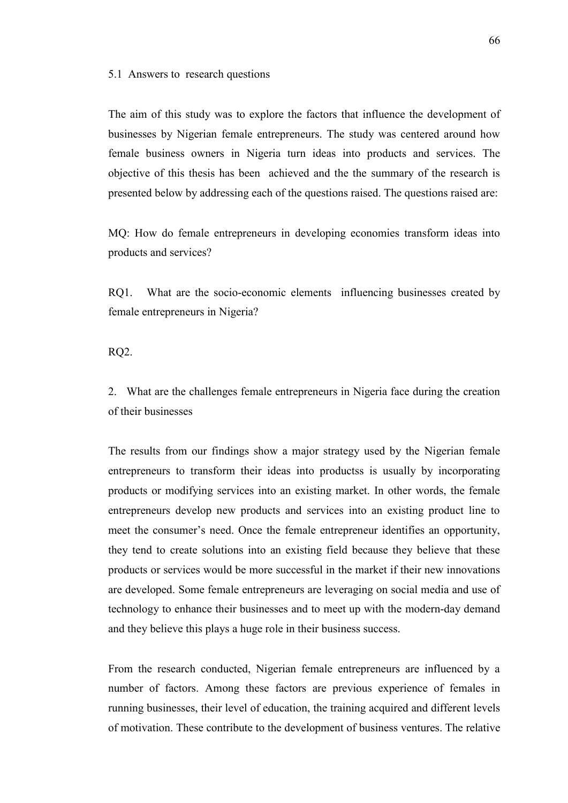#### 5.1 Answers to research questions

The aim of this study was to explore the factors that influence the development of businesses by Nigerian female entrepreneurs. The study was centered around how female business owners in Nigeria turn ideas into products and services. The objective of this thesis has been achieved and the the summary of the research is presented below by addressing each of the questions raised. The questions raised are:

MQ: How do female entrepreneurs in developing economies transform ideas into products and services?

RQ1. What are the socio-economic elements influencing businesses created by female entrepreneurs in Nigeria?

RQ2.

2. What are the challenges female entrepreneurs in Nigeria face during the creation of their businesses

The results from our findings show a major strategy used by the Nigerian female entrepreneurs to transform their ideas into productss is usually by incorporating products or modifying services into an existing market. In other words, the female entrepreneurs develop new products and services into an existing product line to meet the consumer's need. Once the female entrepreneur identifies an opportunity, they tend to create solutions into an existing field because they believe that these products or services would be more successful in the market if their new innovations are developed. Some female entrepreneurs are leveraging on social media and use of technology to enhance their businesses and to meet up with the modern-day demand and they believe this plays a huge role in their business success.

From the research conducted, Nigerian female entrepreneurs are influenced by a number of factors. Among these factors are previous experience of females in running businesses, their level of education, the training acquired and different levels of motivation. These contribute to the development of business ventures. The relative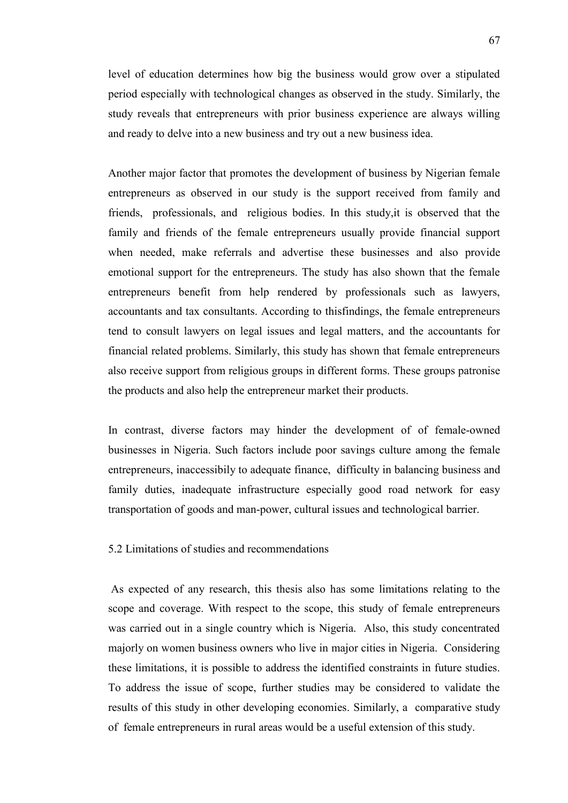level of education determines how big the business would grow over a stipulated period especially with technological changes as observed in the study. Similarly, the study reveals that entrepreneurs with prior business experience are always willing and ready to delve into a new business and try out a new business idea.

Another major factor that promotes the development of business by Nigerian female entrepreneurs as observed in our study is the support received from family and friends, professionals, and religious bodies. In this study,it is observed that the family and friends of the female entrepreneurs usually provide financial support when needed, make referrals and advertise these businesses and also provide emotional support for the entrepreneurs. The study has also shown that the female entrepreneurs benefit from help rendered by professionals such as lawyers, accountants and tax consultants. According to thisfindings, the female entrepreneurs tend to consult lawyers on legal issues and legal matters, and the accountants for financial related problems. Similarly, this study has shown that female entrepreneurs also receive support from religious groups in different forms. These groups patronise the products and also help the entrepreneur market their products.

In contrast, diverse factors may hinder the development of of female-owned businesses in Nigeria. Such factors include poor savings culture among the female entrepreneurs, inaccessibily to adequate finance, difficulty in balancing business and family duties, inadequate infrastructure especially good road network for easy transportation of goods and man-power, cultural issues and technological barrier.

# 5.2 Limitations of studies and recommendations

As expected of any research, this thesis also has some limitations relating to the scope and coverage. With respect to the scope, this study of female entrepreneurs was carried out in a single country which is Nigeria. Also, this study concentrated majorly on women business owners who live in major cities in Nigeria. Considering these limitations, it is possible to address the identified constraints in future studies. To address the issue of scope, further studies may be considered to validate the results of this study in other developing economies. Similarly, a comparative study of female entrepreneurs in rural areas would be a useful extension of this study.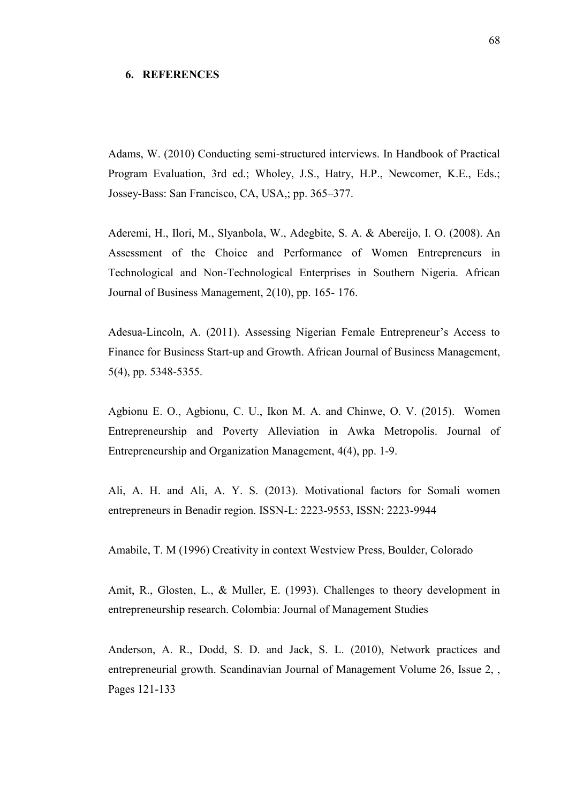#### **6. REFERENCES**

Adams, W. (2010) Conducting semi-structured interviews. In Handbook of Practical Program Evaluation, 3rd ed.; Wholey, J.S., Hatry, H.P., Newcomer, K.E., Eds.; Jossey-Bass: San Francisco, CA, USA,; pp. 365–377.

Aderemi, H., Ilori, M., Slyanbola, W., Adegbite, S. A. & Abereijo, I. O. (2008). An Assessment of the Choice and Performance of Women Entrepreneurs in Technological and Non-Technological Enterprises in Southern Nigeria. African Journal of Business Management, 2(10), pp. 165- 176.

Adesua-Lincoln, A. (2011). Assessing Nigerian Female Entrepreneur's Access to Finance for Business Start-up and Growth. African Journal of Business Management, 5(4), pp. 5348-5355.

Agbionu E. O., Agbionu, C. U., Ikon M. A. and Chinwe, O. V. (2015). Women Entrepreneurship and Poverty Alleviation in Awka Metropolis. Journal of Entrepreneurship and Organization Management, 4(4), pp. 1-9.

Ali, A. H. and Ali, A. Y. S. (2013). Motivational factors for Somali women entrepreneurs in Benadir region. ISSN-L: 2223-9553, ISSN: 2223-9944

Amabile, T. M (1996) Creativity in context Westview Press, Boulder, Colorado

Amit, R., Glosten, L., & Muller, E. (1993). Challenges to theory development in entrepreneurship research. Colombia: Journal of Management Studies

Anderson, A. R., Dodd, S. D. and Jack, S. L. (2010), Network practices and entrepreneurial growth. Scandinavian Journal of Management Volume 26, Issue 2, , Pages 121-133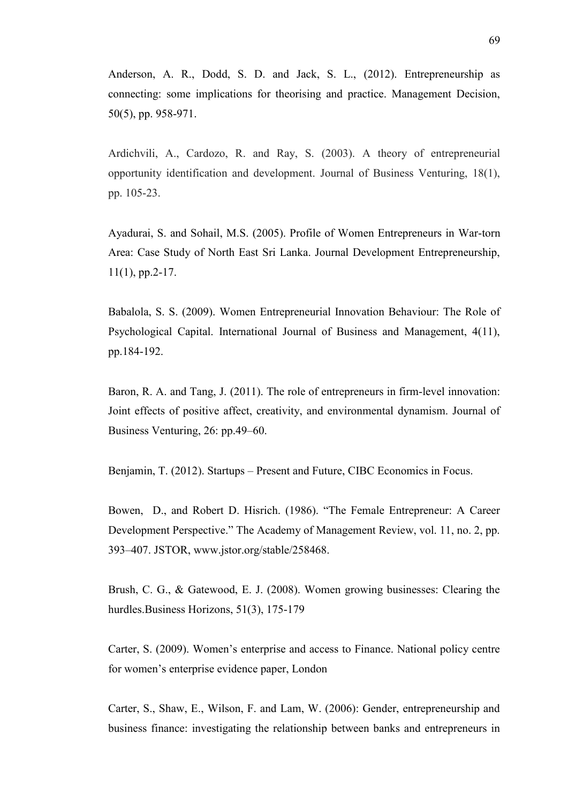Anderson, A. R., Dodd, S. D. and Jack, S. L., (2012). Entrepreneurship as connecting: some implications for theorising and practice. Management Decision, 50(5), pp. 958-971.

Ardichvili, A., Cardozo, R. and Ray, S. (2003). A theory of entrepreneurial opportunity identification and development. Journal of Business Venturing, 18(1), pp. 105-23.

Ayadurai, S. and Sohail, M.S. (2005). Profile of Women Entrepreneurs in War-torn Area: Case Study of North East Sri Lanka. Journal Development Entrepreneurship, 11(1), pp.2-17.

Babalola, S. S. (2009). Women Entrepreneurial Innovation Behaviour: The Role of Psychological Capital. International Journal of Business and Management, 4(11), pp.184-192.

Baron, R. A. and Tang, J. (2011). The role of entrepreneurs in firm-level innovation: Joint effects of positive affect, creativity, and environmental dynamism. Journal of Business Venturing, 26: pp.49–60.

Benjamin, T. (2012). Startups – Present and Future, CIBC Economics in Focus.

Bowen, D., and Robert D. Hisrich. (1986). "The Female Entrepreneur: A Career Development Perspective." The Academy of Management Review, vol. 11, no. 2, pp. 393–407. JSTOR, www.jstor.org/stable/258468.

Brush, C. G., & Gatewood, E. J. (2008). Women growing businesses: Clearing the hurdles.Business Horizons, 51(3), 175-179

Carter, S. (2009). Women's enterprise and access to Finance. National policy centre for women's enterprise evidence paper, London

Carter, S., Shaw, E., Wilson, F. and Lam, W. (2006): Gender, entrepreneurship and business finance: investigating the relationship between banks and entrepreneurs in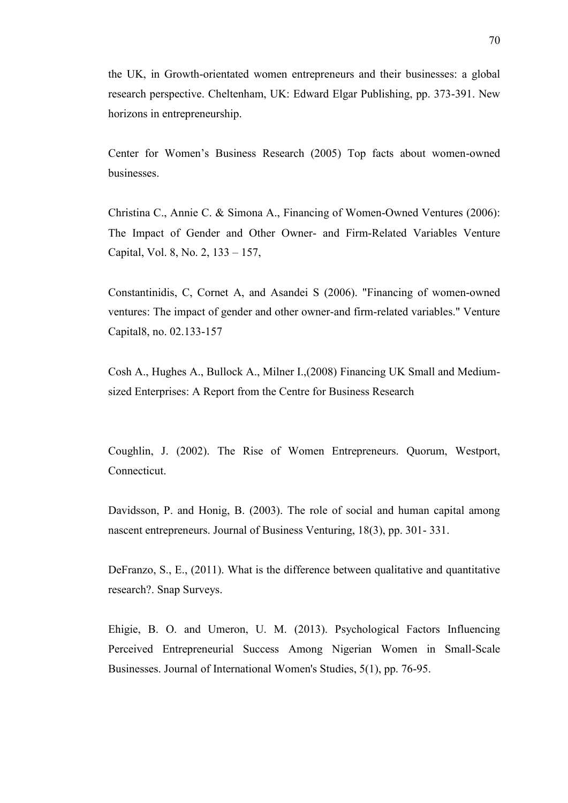the UK, in Growth-orientated women entrepreneurs and their businesses: a global research perspective. Cheltenham, UK: Edward Elgar Publishing, pp. 373-391. New horizons in entrepreneurship.

Center for Women's Business Research (2005) Top facts about women-owned **businesses** 

Christina C., Annie C. & Simona A., Financing of Women-Owned Ventures (2006): The Impact of Gender and Other Owner- and Firm-Related Variables Venture Capital, Vol. 8, No. 2, 133 – 157,

Constantinidis, C, Cornet A, and Asandei S (2006). "Financing of women-owned ventures: The impact of gender and other owner-and firm-related variables." Venture Capital8, no. 02.133-157

Cosh A., Hughes A., Bullock A., Milner I.,(2008) Financing UK Small and Mediumsized Enterprises: A Report from the Centre for Business Research

Coughlin, J. (2002). The Rise of Women Entrepreneurs. Quorum, Westport, Connecticut.

Davidsson, P. and Honig, B. (2003). The role of social and human capital among nascent entrepreneurs. Journal of Business Venturing, 18(3), pp. 301- 331.

DeFranzo, S., E., (2011). What is the difference between qualitative and quantitative research?. Snap Surveys.

Ehigie, B. O. and Umeron, U. M. (2013). Psychological Factors Influencing Perceived Entrepreneurial Success Among Nigerian Women in Small-Scale Businesses. Journal of International Women's Studies, 5(1), pp. 76-95.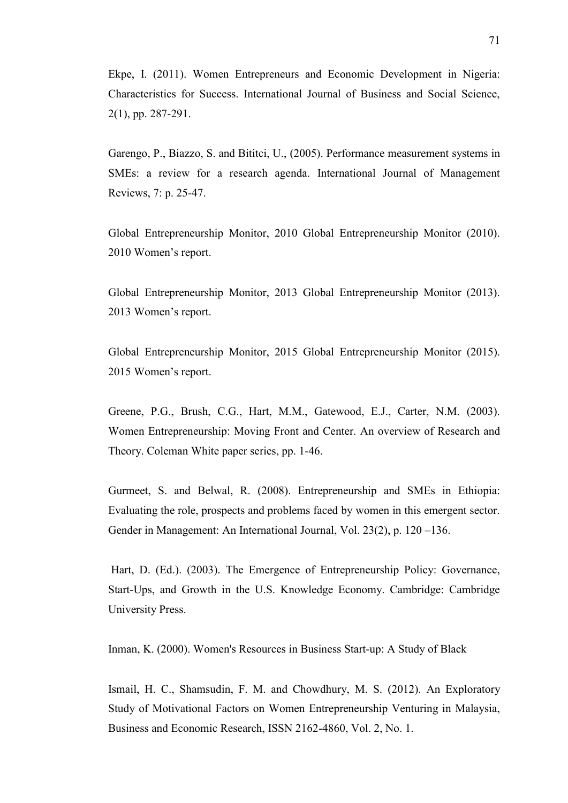Ekpe, I. (2011). Women Entrepreneurs and Economic Development in Nigeria: Characteristics for Success. International Journal of Business and Social Science, 2(1), pp. 287-291.

Garengo, P., Biazzo, S. and Bititci, U., (2005). Performance measurement systems in SMEs: a review for a research agenda. International Journal of Management Reviews, 7: p. 25-47.

Global Entrepreneurship Monitor, 2010 Global Entrepreneurship Monitor (2010). 2010 Women's report.

Global Entrepreneurship Monitor, 2013 Global Entrepreneurship Monitor (2013). 2013 Women's report.

Global Entrepreneurship Monitor, 2015 Global Entrepreneurship Monitor (2015). 2015 Women's report.

Greene, P.G., Brush, C.G., Hart, M.M., Gatewood, E.J., Carter, N.M. (2003). Women Entrepreneurship: Moving Front and Center. An overview of Research and Theory. Coleman White paper series, pp. 1-46.

Gurmeet, S. and Belwal, R. (2008). Entrepreneurship and SMEs in Ethiopia: Evaluating the role, prospects and problems faced by women in this emergent sector. Gender in Management: An International Journal, Vol. 23(2), p. 120 –136.

Hart, D. (Ed.). (2003). The Emergence of Entrepreneurship Policy: Governance, Start-Ups, and Growth in the U.S. Knowledge Economy. Cambridge: Cambridge University Press.

Inman, K. (2000). Women's Resources in Business Start-up: A Study of Black

Ismail, H. C., Shamsudin, F. M. and Chowdhury, M. S. (2012). An Exploratory Study of Motivational Factors on Women Entrepreneurship Venturing in Malaysia, Business and Economic Research, ISSN 2162-4860, Vol. 2, No. 1.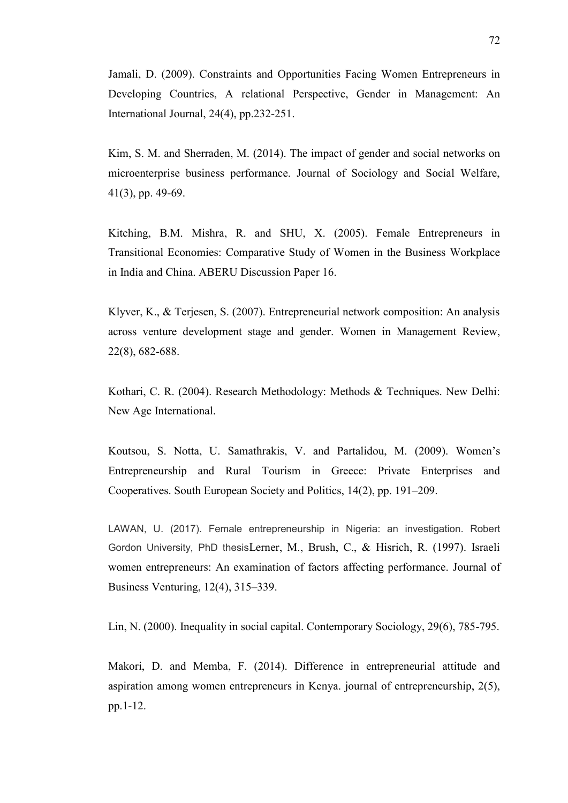Jamali, D. (2009). Constraints and Opportunities Facing Women Entrepreneurs in Developing Countries, A relational Perspective, Gender in Management: An International Journal, 24(4), pp.232-251.

Kim, S. M. and Sherraden, M. (2014). The impact of gender and social networks on microenterprise business performance. Journal of Sociology and Social Welfare, 41(3), pp. 49-69.

Kitching, B.M. Mishra, R. and SHU, X. (2005). Female Entrepreneurs in Transitional Economies: Comparative Study of Women in the Business Workplace in India and China. ABERU Discussion Paper 16.

Klyver, K., & Terjesen, S. (2007). Entrepreneurial network composition: An analysis across venture development stage and gender. Women in Management Review, 22(8), 682-688.

Kothari, C. R. (2004). Research Methodology: Methods & Techniques. New Delhi: New Age International.

Koutsou, S. Notta, U. Samathrakis, V. and Partalidou, M. (2009). Women's Entrepreneurship and Rural Tourism in Greece: Private Enterprises and Cooperatives. South European Society and Politics, 14(2), pp. 191–209.

LAWAN, U. (2017). Female entrepreneurship in Nigeria: an investigation. Robert Gordon University, PhD thesisLerner, M., Brush, C., & Hisrich, R. (1997). Israeli women entrepreneurs: An examination of factors affecting performance. Journal of Business Venturing, 12(4), 315–339.

Lin, N. (2000). Inequality in social capital. Contemporary Sociology, 29(6), 785-795.

Makori, D. and Memba, F. (2014). Difference in entrepreneurial attitude and aspiration among women entrepreneurs in Kenya. journal of entrepreneurship, 2(5), pp.1-12.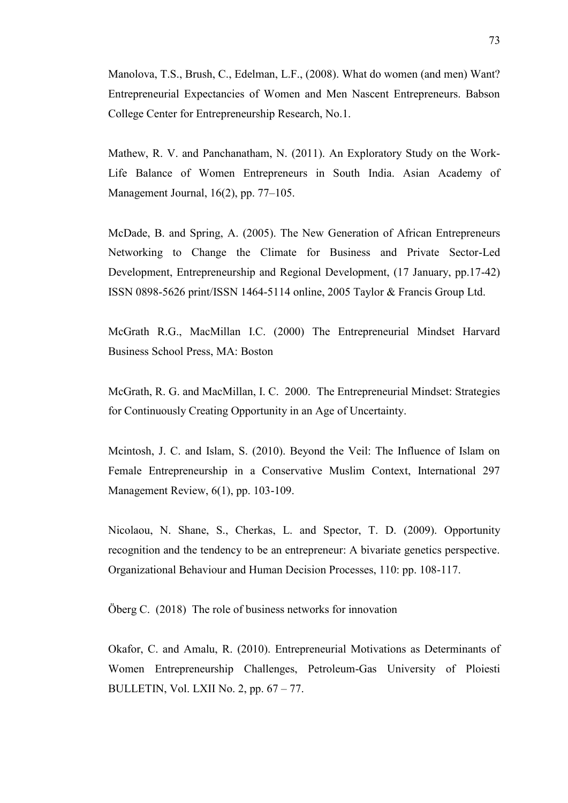Manolova, T.S., Brush, C., Edelman, L.F., (2008). What do women (and men) Want? Entrepreneurial Expectancies of Women and Men Nascent Entrepreneurs. Babson College Center for Entrepreneurship Research, No.1.

Mathew, R. V. and Panchanatham, N. (2011). An Exploratory Study on the Work-Life Balance of Women Entrepreneurs in South India. Asian Academy of Management Journal, 16(2), pp. 77–105.

McDade, B. and Spring, A. (2005). The New Generation of African Entrepreneurs Networking to Change the Climate for Business and Private Sector-Led Development, Entrepreneurship and Regional Development, (17 January, pp.17-42) ISSN 0898-5626 print/ISSN 1464-5114 online, 2005 Taylor & Francis Group Ltd.

McGrath R.G., MacMillan I.C. (2000) The Entrepreneurial Mindset Harvard Business School Press, MA: Boston

McGrath, R. G. and MacMillan, I. C. 2000. The Entrepreneurial Mindset: Strategies for Continuously Creating Opportunity in an Age of Uncertainty.

Mcintosh, J. C. and Islam, S. (2010). Beyond the Veil: The Influence of Islam on Female Entrepreneurship in a Conservative Muslim Context, International 297 Management Review, 6(1), pp. 103-109.

Nicolaou, N. Shane, S., Cherkas, L. and Spector, T. D. (2009). Opportunity recognition and the tendency to be an entrepreneur: A bivariate genetics perspective. Organizational Behaviour and Human Decision Processes, 110: pp. 108-117.

Öberg C. (2018) The role of business networks for innovation

Okafor, C. and Amalu, R. (2010). Entrepreneurial Motivations as Determinants of Women Entrepreneurship Challenges, Petroleum-Gas University of Ploiesti BULLETIN, Vol. LXII No. 2, pp. 67 – 77.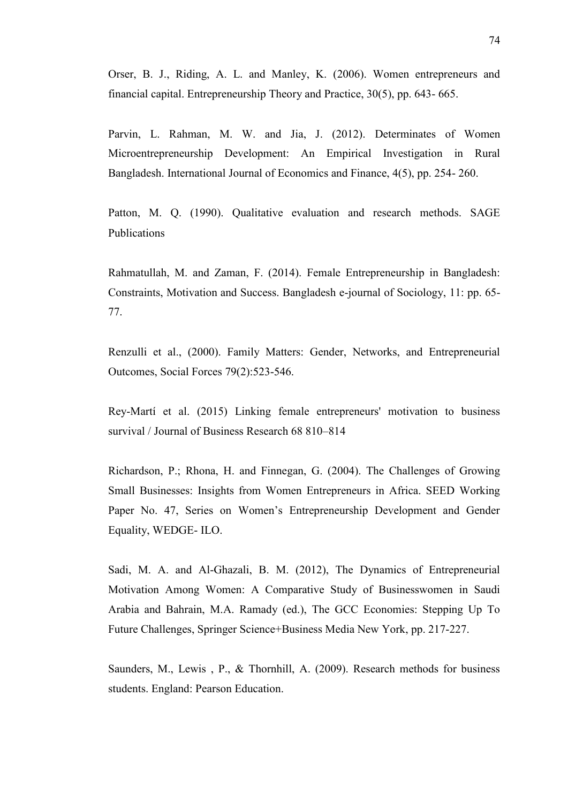Orser, B. J., Riding, A. L. and Manley, K. (2006). Women entrepreneurs and financial capital. Entrepreneurship Theory and Practice, 30(5), pp. 643- 665.

Parvin, L. Rahman, M. W. and Jia, J. (2012). Determinates of Women Microentrepreneurship Development: An Empirical Investigation in Rural Bangladesh. International Journal of Economics and Finance, 4(5), pp. 254- 260.

Patton, M. Q. (1990). Qualitative evaluation and research methods. SAGE Publications

Rahmatullah, M. and Zaman, F. (2014). Female Entrepreneurship in Bangladesh: Constraints, Motivation and Success. Bangladesh e-journal of Sociology, 11: pp. 65- 77.

Renzulli et al., (2000). Family Matters: Gender, Networks, and Entrepreneurial Outcomes, Social Forces 79(2):523-546.

Rey-Martí et al. (2015) Linking female entrepreneurs' motivation to business survival / Journal of Business Research 68 810–814

Richardson, P.; Rhona, H. and Finnegan, G. (2004). The Challenges of Growing Small Businesses: Insights from Women Entrepreneurs in Africa. SEED Working Paper No. 47, Series on Women's Entrepreneurship Development and Gender Equality, WEDGE- ILO.

Sadi, M. A. and Al-Ghazali, B. M. (2012), The Dynamics of Entrepreneurial Motivation Among Women: A Comparative Study of Businesswomen in Saudi Arabia and Bahrain, M.A. Ramady (ed.), The GCC Economies: Stepping Up To Future Challenges, Springer Science+Business Media New York, pp. 217-227.

Saunders, M., Lewis , P., & Thornhill, A. (2009). Research methods for business students. England: Pearson Education.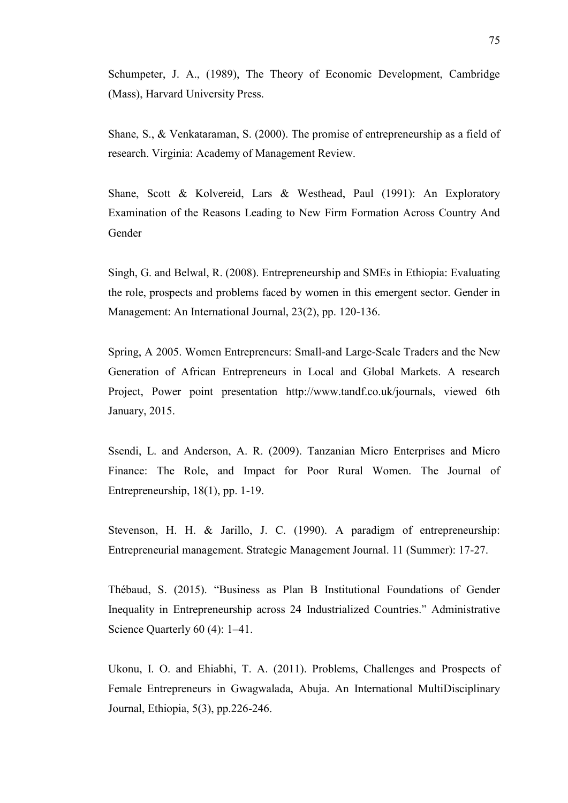Schumpeter, J. A., (1989), The Theory of Economic Development, Cambridge (Mass), Harvard University Press.

Shane, S., & Venkataraman, S. (2000). The promise of entrepreneurship as a field of research. Virginia: Academy of Management Review.

Shane, Scott & Kolvereid, Lars & Westhead, Paul (1991): An Exploratory Examination of the Reasons Leading to New Firm Formation Across Country And Gender

Singh, G. and Belwal, R. (2008). Entrepreneurship and SMEs in Ethiopia: Evaluating the role, prospects and problems faced by women in this emergent sector. Gender in Management: An International Journal, 23(2), pp. 120-136.

Spring, A 2005. Women Entrepreneurs: Small-and Large-Scale Traders and the New Generation of African Entrepreneurs in Local and Global Markets. A research Project, Power point presentation http://www.tandf.co.uk/journals, viewed 6th January, 2015.

Ssendi, L. and Anderson, A. R. (2009). Tanzanian Micro Enterprises and Micro Finance: The Role, and Impact for Poor Rural Women. The Journal of Entrepreneurship, 18(1), pp. 1-19.

Stevenson, H. H. & Jarillo, J. C. (1990). A paradigm of entrepreneurship: Entrepreneurial management. Strategic Management Journal. 11 (Summer): 17-27.

Thébaud, S. (2015). "Business as Plan B Institutional Foundations of Gender Inequality in Entrepreneurship across 24 Industrialized Countries." Administrative Science Quarterly 60 (4): 1–41.

Ukonu, I. O. and Ehiabhi, T. A. (2011). Problems, Challenges and Prospects of Female Entrepreneurs in Gwagwalada, Abuja. An International MultiDisciplinary Journal, Ethiopia, 5(3), pp.226-246.